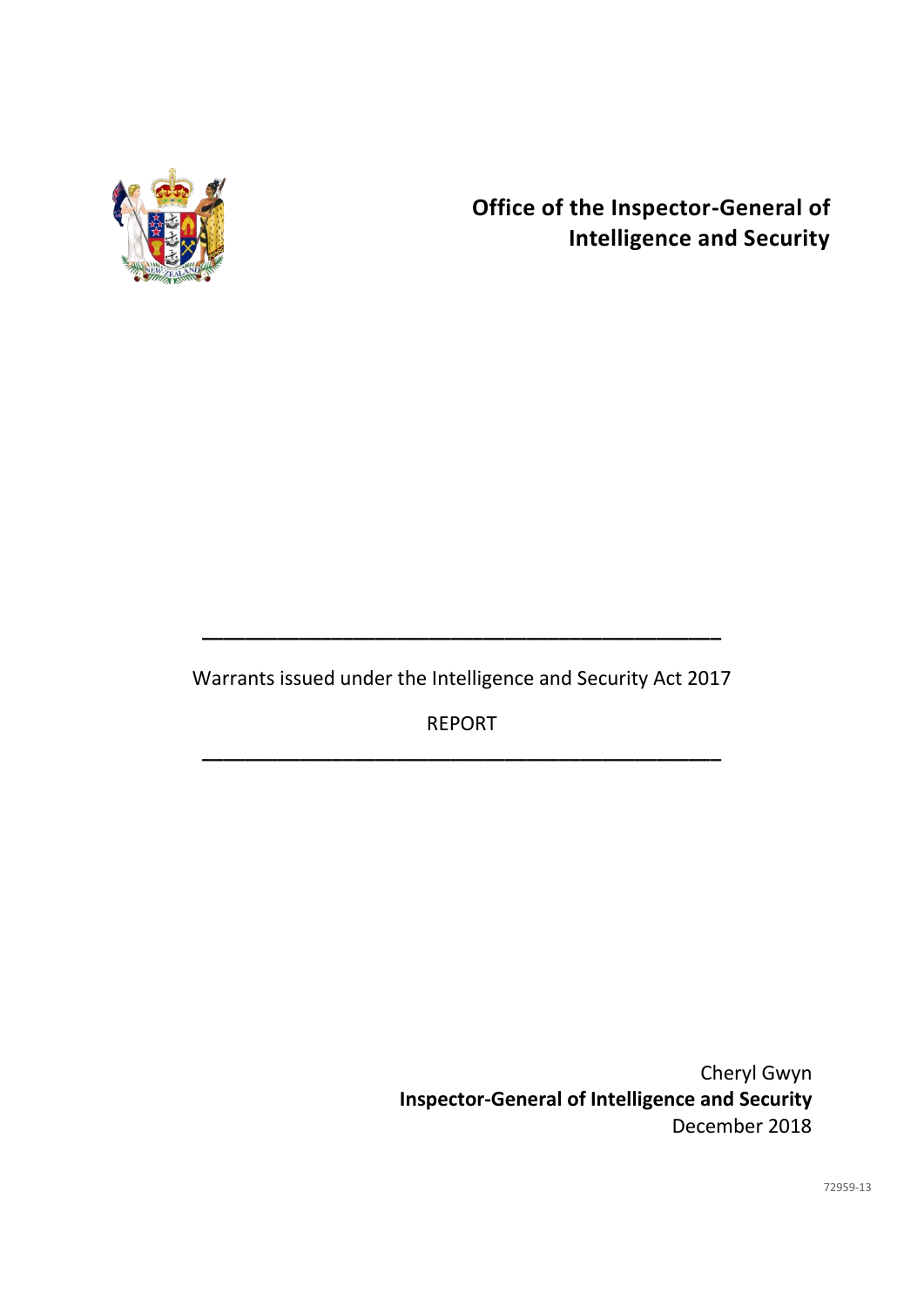

# **Office of the Inspector-General of Intelligence and Security**

Warrants issued under the Intelligence and Security Act 2017

**\_\_\_\_\_\_\_\_\_\_\_\_\_\_\_\_\_\_\_\_\_\_\_\_\_\_\_\_\_\_\_\_\_\_\_\_\_\_\_\_\_\_\_\_\_\_\_\_**

REPORT **\_\_\_\_\_\_\_\_\_\_\_\_\_\_\_\_\_\_\_\_\_\_\_\_\_\_\_\_\_\_\_\_\_\_\_\_\_\_\_\_\_\_\_\_\_\_\_\_**

> Cheryl Gwyn **Inspector-General of Intelligence and Security** December 2018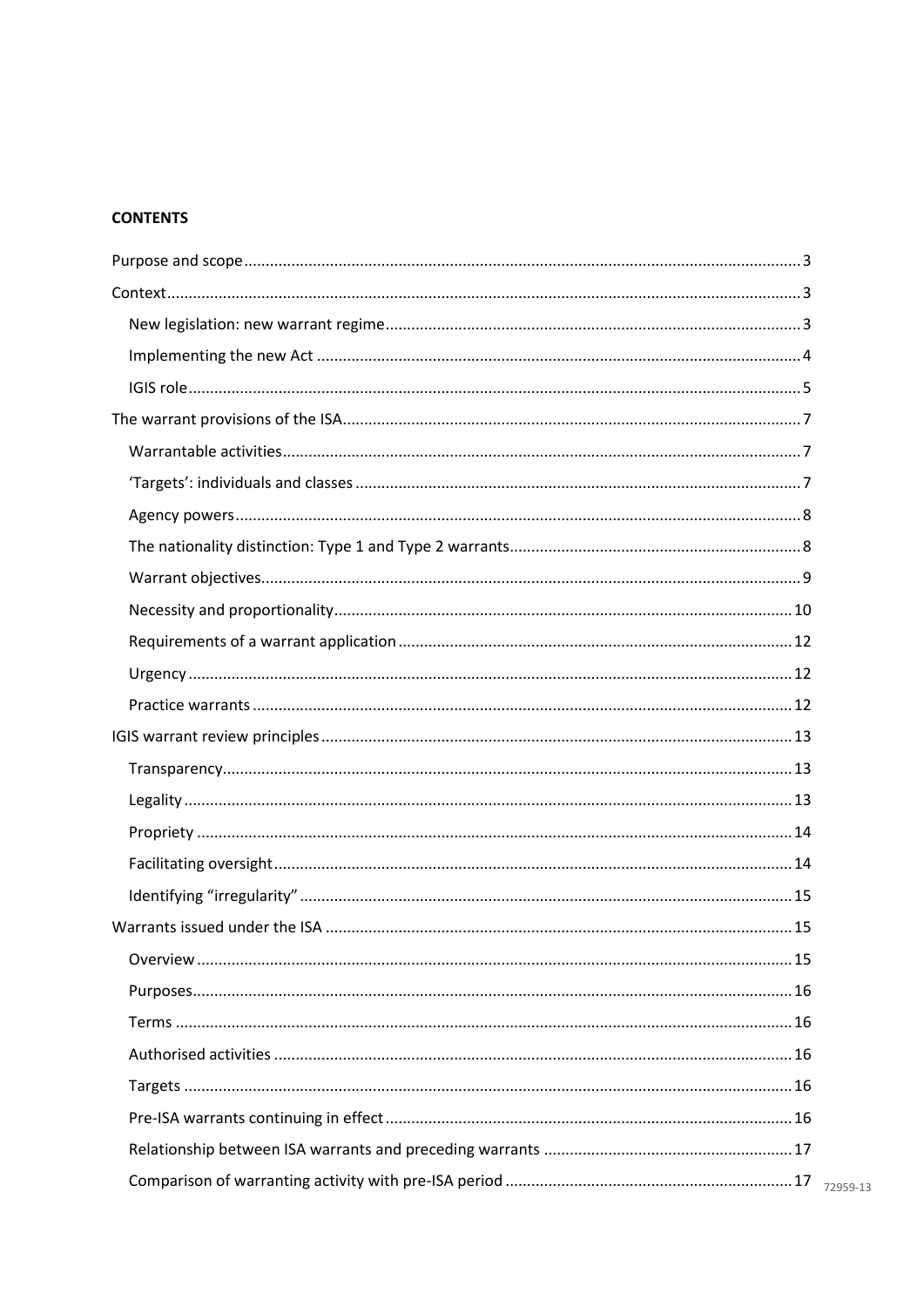# **CONTENTS**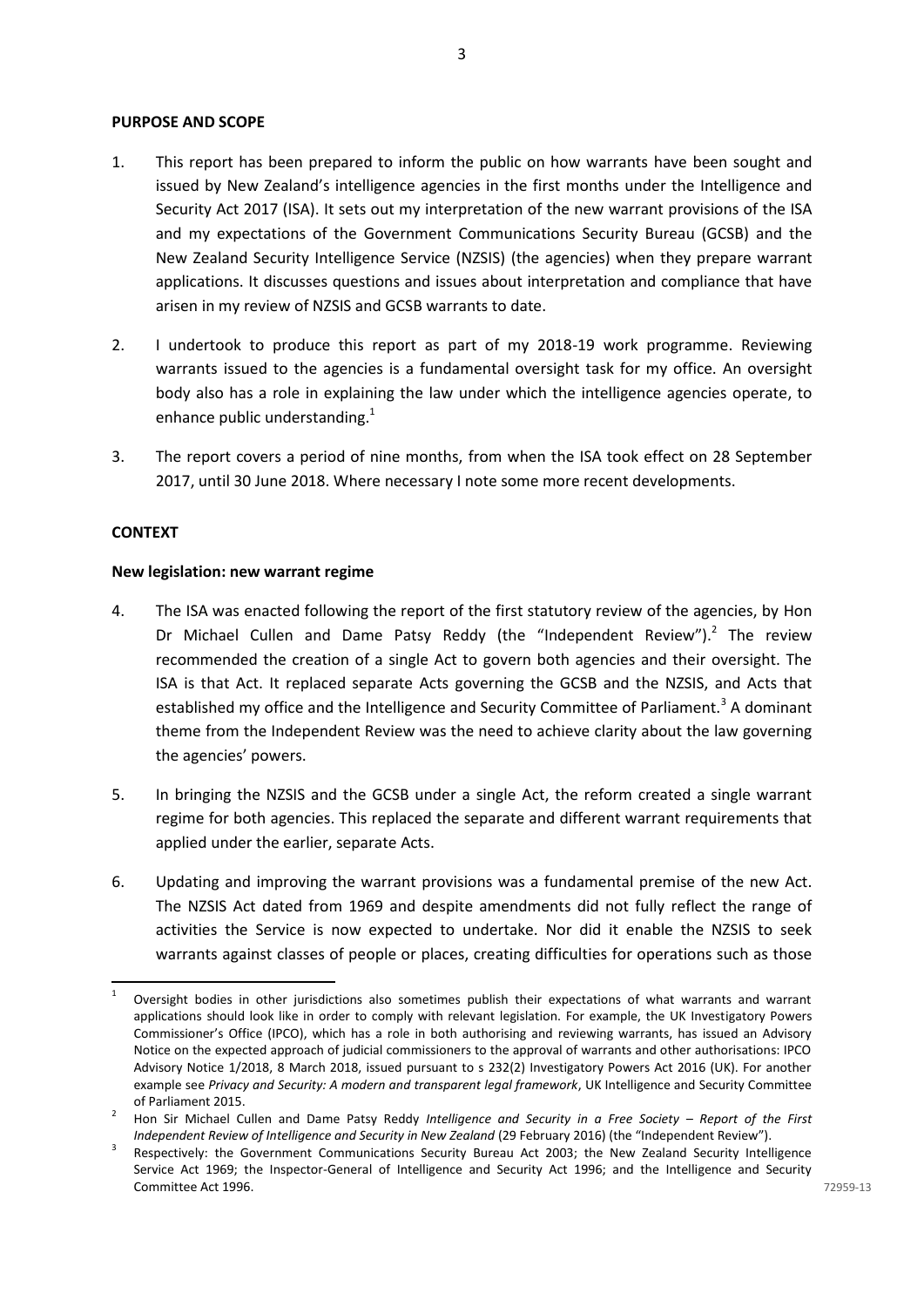#### <span id="page-3-0"></span>**PURPOSE AND SCOPE**

- 1. This report has been prepared to inform the public on how warrants have been sought and issued by New Zealand's intelligence agencies in the first months under the Intelligence and Security Act 2017 (ISA). It sets out my interpretation of the new warrant provisions of the ISA and my expectations of the Government Communications Security Bureau (GCSB) and the New Zealand Security Intelligence Service (NZSIS) (the agencies) when they prepare warrant applications. It discusses questions and issues about interpretation and compliance that have arisen in my review of NZSIS and GCSB warrants to date.
- 2. I undertook to produce this report as part of my 2018-19 work programme. Reviewing warrants issued to the agencies is a fundamental oversight task for my office. An oversight body also has a role in explaining the law under which the intelligence agencies operate, to enhance public understanding.<sup>1</sup>
- 3. The report covers a period of nine months, from when the ISA took effect on 28 September 2017, until 30 June 2018. Where necessary I note some more recent developments.

## <span id="page-3-1"></span>**CONTEXT**

**.** 

## <span id="page-3-2"></span>**New legislation: new warrant regime**

- <span id="page-3-3"></span>4. The ISA was enacted following the report of the first statutory review of the agencies, by Hon Dr Michael Cullen and Dame Patsy Reddy (the "Independent Review").<sup>2</sup> The review recommended the creation of a single Act to govern both agencies and their oversight. The ISA is that Act. It replaced separate Acts governing the GCSB and the NZSIS, and Acts that established my office and the Intelligence and Security Committee of Parliament.<sup>3</sup> A dominant theme from the Independent Review was the need to achieve clarity about the law governing the agencies' powers.
- 5. In bringing the NZSIS and the GCSB under a single Act, the reform created a single warrant regime for both agencies. This replaced the separate and different warrant requirements that applied under the earlier, separate Acts.
- 6. Updating and improving the warrant provisions was a fundamental premise of the new Act. The NZSIS Act dated from 1969 and despite amendments did not fully reflect the range of activities the Service is now expected to undertake. Nor did it enable the NZSIS to seek warrants against classes of people or places, creating difficulties for operations such as those

<sup>1</sup> Oversight bodies in other jurisdictions also sometimes publish their expectations of what warrants and warrant applications should look like in order to comply with relevant legislation. For example, the UK Investigatory Powers Commissioner's Office (IPCO), which has a role in both authorising and reviewing warrants, has issued an Advisory Notice on the expected approach of judicial commissioners to the approval of warrants and other authorisations: IPCO Advisory Notice 1/2018, 8 March 2018, issued pursuant to s 232(2) Investigatory Powers Act 2016 (UK). For another example see *Privacy and Security: A modern and transparent legal framework*, UK Intelligence and Security Committee of Parliament 2015.

<sup>&</sup>lt;sup>2</sup> Hon Sir Michael Cullen and Dame Patsy Reddy Intelligence and Security in a Free Society – Report of the First *Independent Review of Intelligence and Security in New Zealand (29 February 2016) (the "Independent Review").* 

<sup>3</sup> Respectively: the Government Communications Security Bureau Act 2003; the New Zealand Security Intelligence Service Act 1969; the Inspector-General of Intelligence and Security Act 1996; and the Intelligence and Security Committee Act 1996.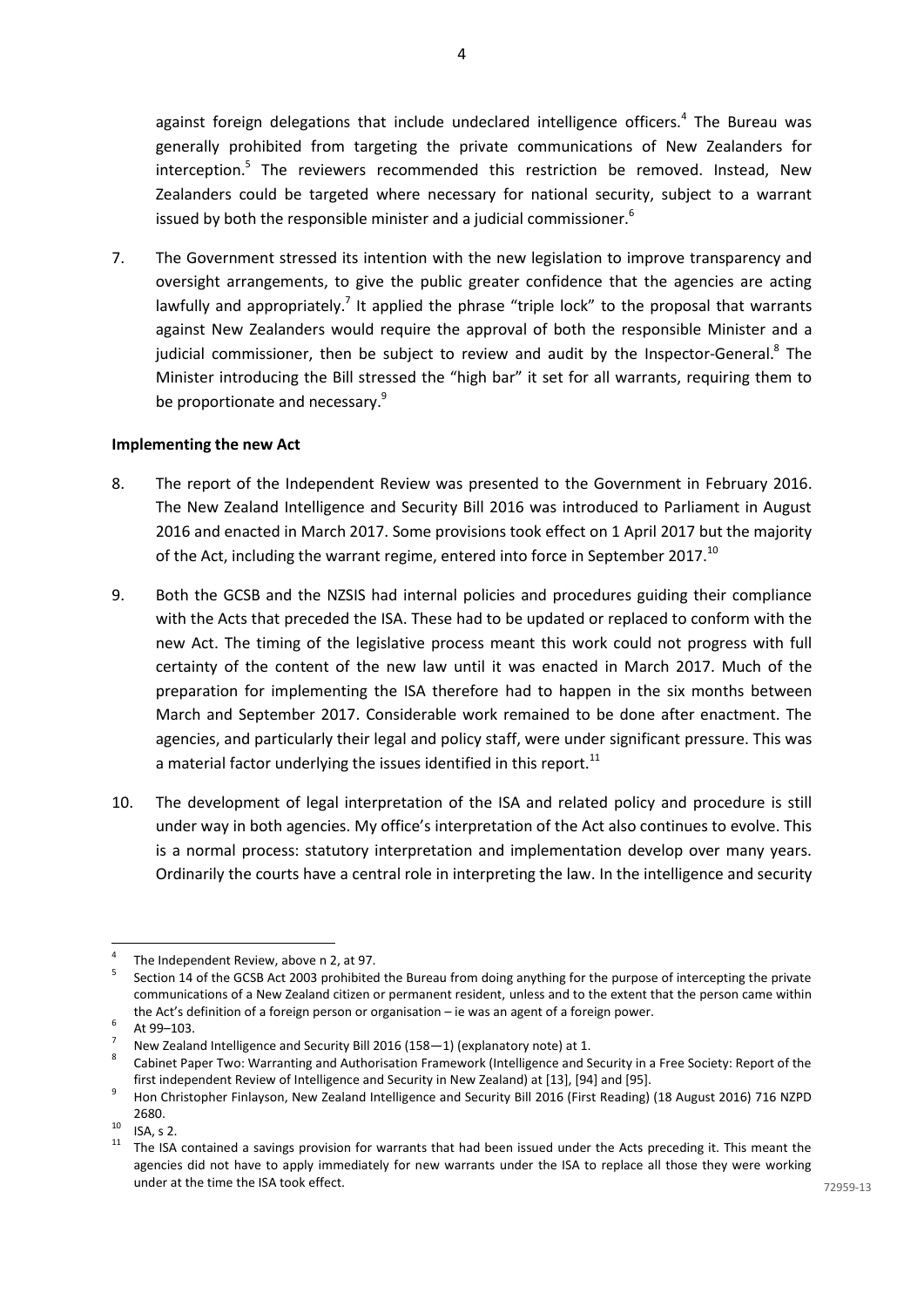against foreign delegations that include undeclared intelligence officers.<sup>4</sup> The Bureau was generally prohibited from targeting the private communications of New Zealanders for interception.<sup>5</sup> The reviewers recommended this restriction be removed. Instead, New Zealanders could be targeted where necessary for national security, subject to a warrant issued by both the responsible minister and a judicial commissioner.<sup>6</sup>

7. The Government stressed its intention with the new legislation to improve transparency and oversight arrangements, to give the public greater confidence that the agencies are acting lawfully and appropriately.<sup>7</sup> It applied the phrase "triple lock" to the proposal that warrants against New Zealanders would require the approval of both the responsible Minister and a judicial commissioner, then be subject to review and audit by the Inspector-General.<sup>8</sup> The Minister introducing the Bill stressed the "high bar" it set for all warrants, requiring them to be proportionate and necessary.<sup>9</sup>

## <span id="page-4-0"></span>**Implementing the new Act**

- 8. The report of the Independent Review was presented to the Government in February 2016. The New Zealand Intelligence and Security Bill 2016 was introduced to Parliament in August 2016 and enacted in March 2017. Some provisions took effect on 1 April 2017 but the majority of the Act, including the warrant regime, entered into force in September 2017.<sup>10</sup>
- 9. Both the GCSB and the NZSIS had internal policies and procedures guiding their compliance with the Acts that preceded the ISA. These had to be updated or replaced to conform with the new Act. The timing of the legislative process meant this work could not progress with full certainty of the content of the new law until it was enacted in March 2017. Much of the preparation for implementing the ISA therefore had to happen in the six months between March and September 2017. Considerable work remained to be done after enactment. The agencies, and particularly their legal and policy staff, were under significant pressure. This was a material factor underlying the issues identified in this report.<sup>11</sup>
- 10. The development of legal interpretation of the ISA and related policy and procedure is still under way in both agencies. My office's interpretation of the Act also continues to evolve. This is a normal process: statutory interpretation and implementation develop over many years. Ordinarily the courts have a central role in interpreting the law. In the intelligence and security

**<sup>.</sup>** 4 The Independent Review, above n [2,](#page-3-3) at 97.

<sup>5</sup> Section 14 of the GCSB Act 2003 prohibited the Bureau from doing anything for the purpose of intercepting the private communications of a New Zealand citizen or permanent resident, unless and to the extent that the person came within the Act's definition of a foreign person or organisation – ie was an agent of a foreign power.

<sup>6</sup> At 99–103.

<sup>7</sup> New Zealand Intelligence and Security Bill 2016 (158—1) (explanatory note) at 1.

<sup>8</sup> Cabinet Paper Two: Warranting and Authorisation Framework (Intelligence and Security in a Free Society: Report of the first independent Review of Intelligence and Security in New Zealand) at [13], [94] and [95].

<sup>9</sup> Hon Christopher Finlayson, New Zealand Intelligence and Security Bill 2016 (First Reading) (18 August 2016) 716 NZPD 2680.

 $10$  ISA, s 2.

<sup>&</sup>lt;sup>11</sup> The ISA contained a savings provision for warrants that had been issued under the Acts preceding it. This meant the agencies did not have to apply immediately for new warrants under the ISA to replace all those they were working under at the time the ISA took effect.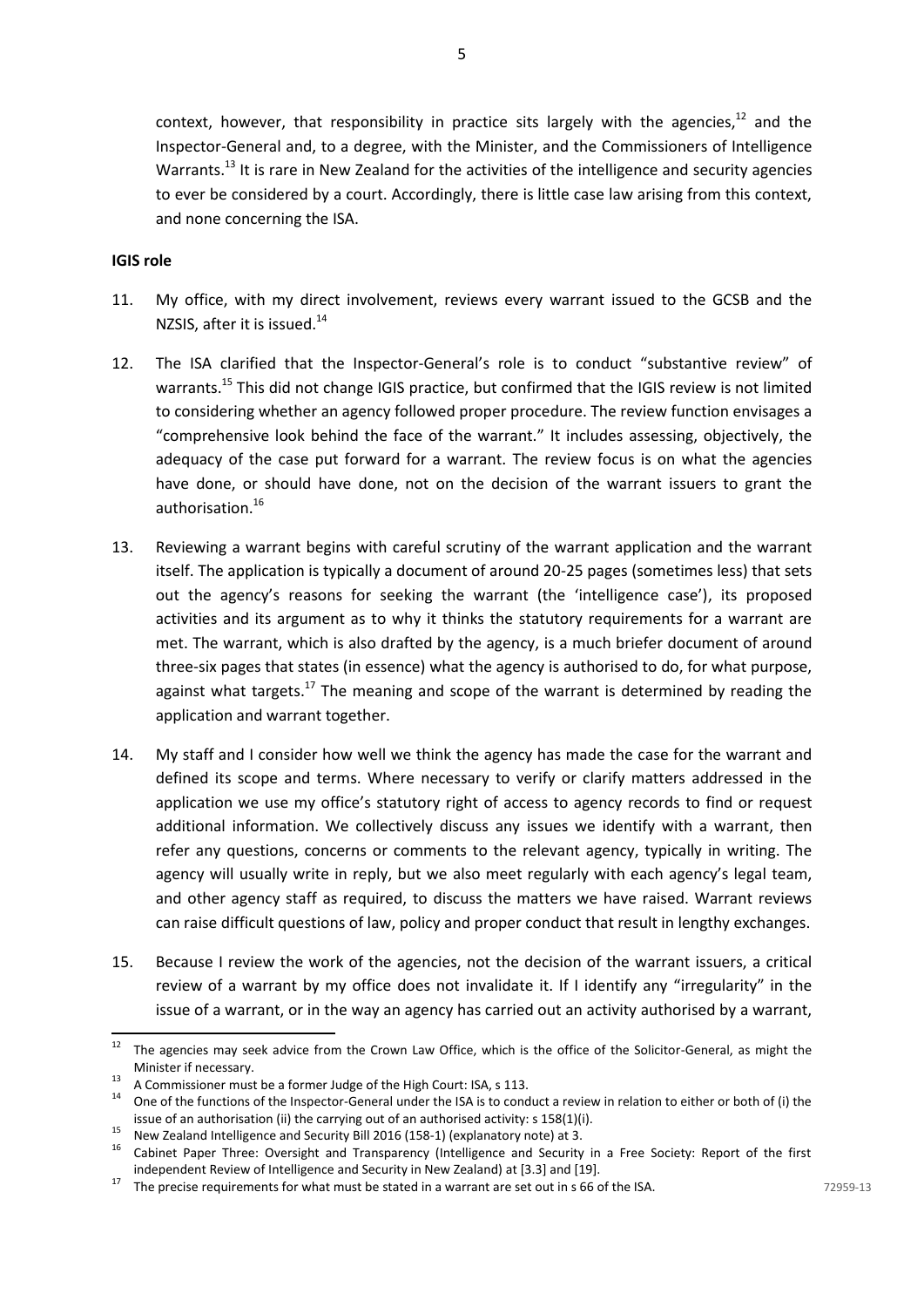## <span id="page-5-0"></span>**IGIS role**

- 11. My office, with my direct involvement, reviews every warrant issued to the GCSB and the NZSIS, after it is issued.<sup>14</sup>
- 12. The ISA clarified that the Inspector-General's role is to conduct "substantive review" of warrants.<sup>15</sup> This did not change IGIS practice, but confirmed that the IGIS review is not limited to considering whether an agency followed proper procedure. The review function envisages a "comprehensive look behind the face of the warrant." It includes assessing, objectively, the adequacy of the case put forward for a warrant. The review focus is on what the agencies have done, or should have done, not on the decision of the warrant issuers to grant the authorisation.<sup>16</sup>
- 13. Reviewing a warrant begins with careful scrutiny of the warrant application and the warrant itself. The application is typically a document of around 20-25 pages (sometimes less) that sets out the agency's reasons for seeking the warrant (the 'intelligence case'), its proposed activities and its argument as to why it thinks the statutory requirements for a warrant are met. The warrant, which is also drafted by the agency, is a much briefer document of around three-six pages that states (in essence) what the agency is authorised to do, for what purpose, against what targets.<sup>17</sup> The meaning and scope of the warrant is determined by reading the application and warrant together.
- 14. My staff and I consider how well we think the agency has made the case for the warrant and defined its scope and terms. Where necessary to verify or clarify matters addressed in the application we use my office's statutory right of access to agency records to find or request additional information. We collectively discuss any issues we identify with a warrant, then refer any questions, concerns or comments to the relevant agency, typically in writing. The agency will usually write in reply, but we also meet regularly with each agency's legal team, and other agency staff as required, to discuss the matters we have raised. Warrant reviews can raise difficult questions of law, policy and proper conduct that result in lengthy exchanges.
- 15. Because I review the work of the agencies, not the decision of the warrant issuers, a critical review of a warrant by my office does not invalidate it. If I identify any "irregularity" in the issue of a warrant, or in the way an agency has carried out an activity authorised by a warrant,

The agencies may seek advice from the Crown Law Office, which is the office of the Solicitor-General, as might the Minister if necessary.

<sup>&</sup>lt;sup>13</sup> A Commissioner must be a former Judge of the High Court: ISA, s 113.<br><sup>14</sup> One of the functions of the Inspector General under the ISA is to send

One of the functions of the Inspector-General under the ISA is to conduct a review in relation to either or both of (i) the issue of an authorisation (ii) the carrying out of an authorised activity: s 158(1)(i).

<sup>&</sup>lt;sup>15</sup> New Zealand Intelligence and Security Bill 2016 (158-1) (explanatory note) at 3.

<sup>16</sup> Cabinet Paper Three: Oversight and Transparency (Intelligence and Security in a Free Society: Report of the first independent Review of Intelligence and Security in New Zealand) at [3.3] and [19].

 $17$  The precise requirements for what must be stated in a warrant are set out in s 66 of the ISA.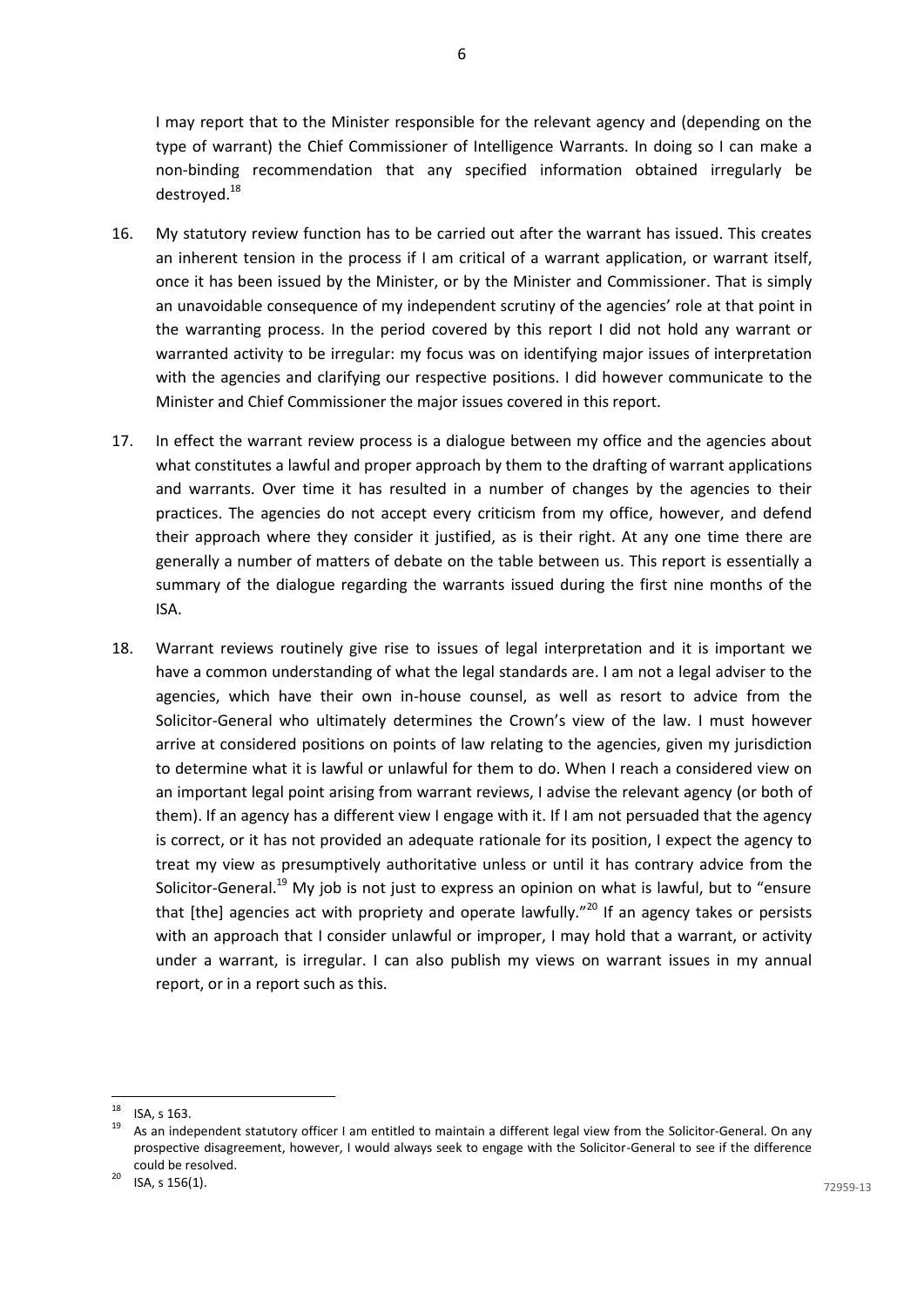I may report that to the Minister responsible for the relevant agency and (depending on the type of warrant) the Chief Commissioner of Intelligence Warrants. In doing so I can make a non-binding recommendation that any specified information obtained irregularly be destroyed.<sup>18</sup>

- 16. My statutory review function has to be carried out after the warrant has issued. This creates an inherent tension in the process if I am critical of a warrant application, or warrant itself, once it has been issued by the Minister, or by the Minister and Commissioner. That is simply an unavoidable consequence of my independent scrutiny of the agencies' role at that point in the warranting process. In the period covered by this report I did not hold any warrant or warranted activity to be irregular: my focus was on identifying major issues of interpretation with the agencies and clarifying our respective positions. I did however communicate to the Minister and Chief Commissioner the major issues covered in this report.
- 17. In effect the warrant review process is a dialogue between my office and the agencies about what constitutes a lawful and proper approach by them to the drafting of warrant applications and warrants. Over time it has resulted in a number of changes by the agencies to their practices. The agencies do not accept every criticism from my office, however, and defend their approach where they consider it justified, as is their right. At any one time there are generally a number of matters of debate on the table between us. This report is essentially a summary of the dialogue regarding the warrants issued during the first nine months of the ISA.
- 18. Warrant reviews routinely give rise to issues of legal interpretation and it is important we have a common understanding of what the legal standards are. I am not a legal adviser to the agencies, which have their own in-house counsel, as well as resort to advice from the Solicitor-General who ultimately determines the Crown's view of the law. I must however arrive at considered positions on points of law relating to the agencies, given my jurisdiction to determine what it is lawful or unlawful for them to do. When I reach a considered view on an important legal point arising from warrant reviews, I advise the relevant agency (or both of them). If an agency has a different view I engage with it. If I am not persuaded that the agency is correct, or it has not provided an adequate rationale for its position, I expect the agency to treat my view as presumptively authoritative unless or until it has contrary advice from the Solicitor-General.<sup>19</sup> My job is not just to express an opinion on what is lawful, but to "ensure that  $[the]$  agencies act with propriety and operate lawfully."<sup>20</sup> If an agency takes or persists with an approach that I consider unlawful or improper, I may hold that a warrant, or activity under a warrant, is irregular. I can also publish my views on warrant issues in my annual report, or in a report such as this.

<sup>18</sup> <sup>18</sup> ISA, s 163.

 $19$  As an independent statutory officer I am entitled to maintain a different legal view from the Solicitor-General. On any prospective disagreement, however, I would always seek to engage with the Solicitor-General to see if the difference could be resolved.

 $20$  ISA, s 156(1).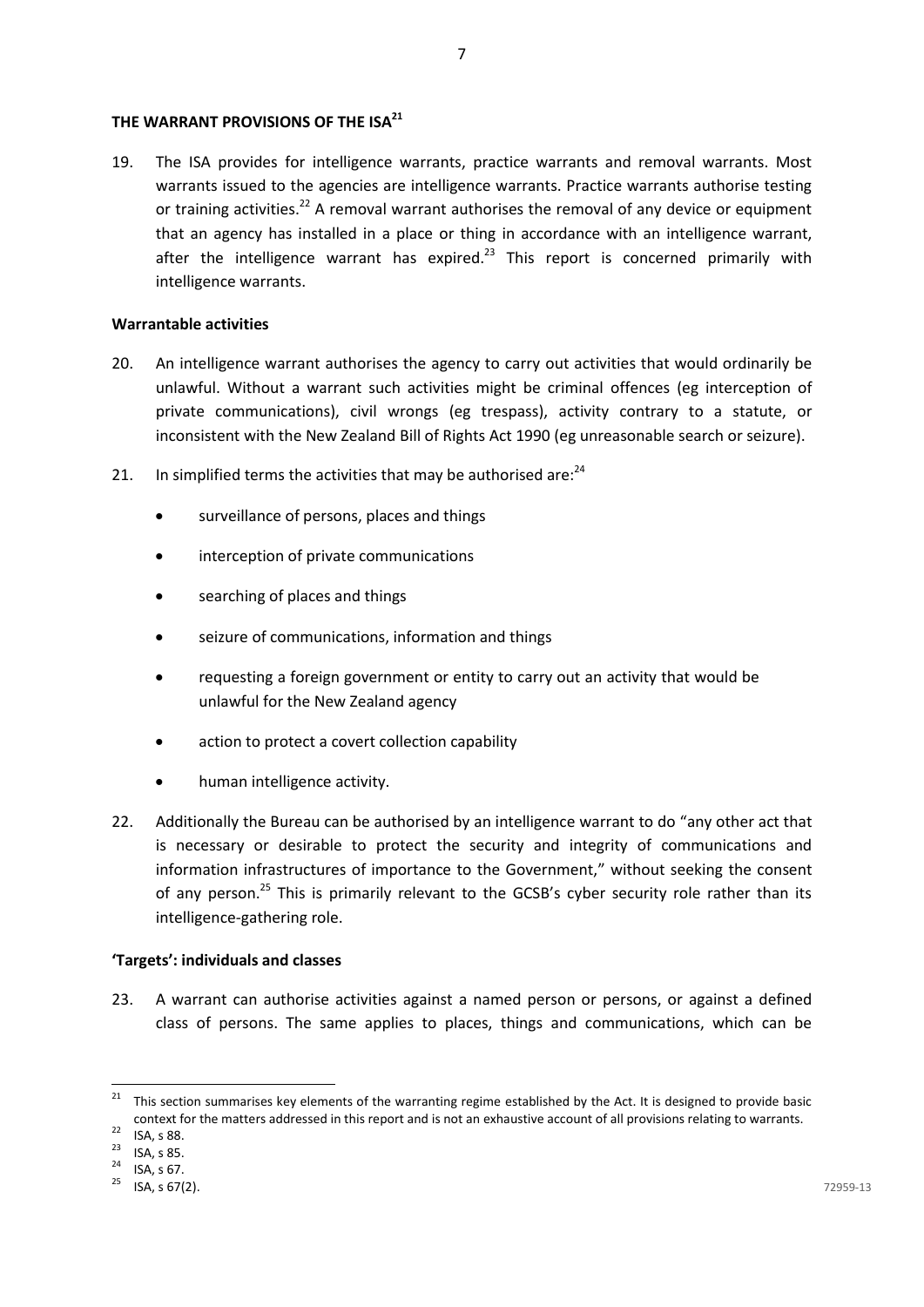#### <span id="page-7-0"></span>**THE WARRANT PROVISIONS OF THE ISA<sup>21</sup>**

19. The ISA provides for intelligence warrants, practice warrants and removal warrants. Most warrants issued to the agencies are intelligence warrants. Practice warrants authorise testing or training activities.<sup>22</sup> A removal warrant authorises the removal of any device or equipment that an agency has installed in a place or thing in accordance with an intelligence warrant, after the intelligence warrant has expired. $^{23}$  This report is concerned primarily with intelligence warrants.

#### <span id="page-7-1"></span>**Warrantable activities**

- 20. An intelligence warrant authorises the agency to carry out activities that would ordinarily be unlawful. Without a warrant such activities might be criminal offences (eg interception of private communications), civil wrongs (eg trespass), activity contrary to a statute, or inconsistent with the New Zealand Bill of Rights Act 1990 (eg unreasonable search or seizure).
- 21. In simplified terms the activities that may be authorised are: $^{24}$ 
	- surveillance of persons, places and things
	- **•** interception of private communications
	- searching of places and things
	- seizure of communications, information and things
	- requesting a foreign government or entity to carry out an activity that would be unlawful for the New Zealand agency
	- action to protect a covert collection capability
	- human intelligence activity.
- 22. Additionally the Bureau can be authorised by an intelligence warrant to do "any other act that is necessary or desirable to protect the security and integrity of communications and information infrastructures of importance to the Government," without seeking the consent of any person.<sup>25</sup> This is primarily relevant to the GCSB's cyber security role rather than its intelligence-gathering role.

## <span id="page-7-2"></span>**'Targets': individuals and classes**

23. A warrant can authorise activities against a named person or persons, or against a defined class of persons. The same applies to places, things and communications, which can be

 $21$  This section summarises key elements of the warranting regime established by the Act. It is designed to provide basic context for the matters addressed in this report and is not an exhaustive account of all provisions relating to warrants.

 $22$  ISA, s 88.

 $23$  ISA, s 85.

 $24$  ISA, s 67.

 $25$  ISA, s 67(2).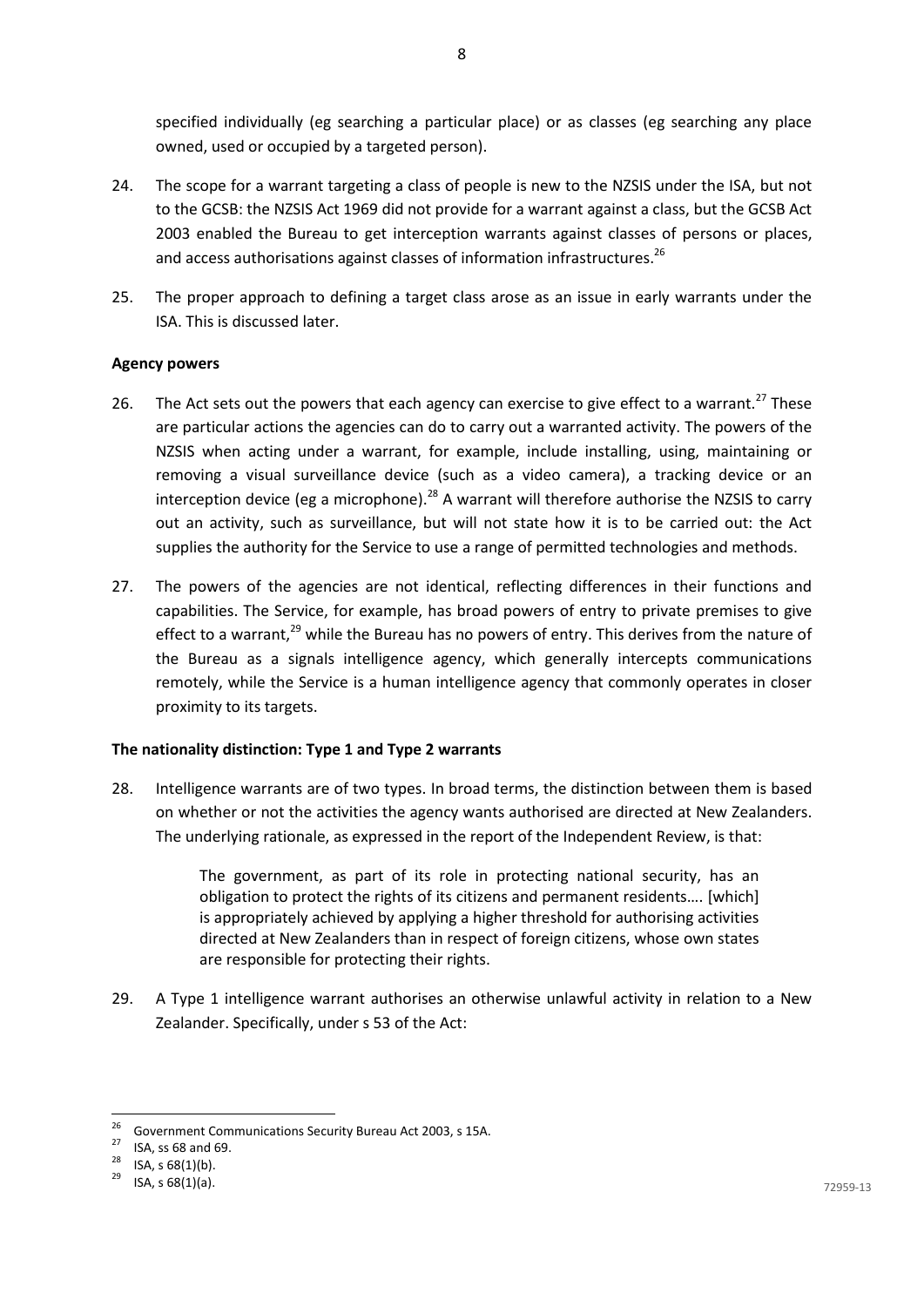specified individually (eg searching a particular place) or as classes (eg searching any place owned, used or occupied by a targeted person).

- 24. The scope for a warrant targeting a class of people is new to the NZSIS under the ISA, but not to the GCSB: the NZSIS Act 1969 did not provide for a warrant against a class, but the GCSB Act 2003 enabled the Bureau to get interception warrants against classes of persons or places, and access authorisations against classes of information infrastructures.<sup>26</sup>
- 25. The proper approach to defining a target class arose as an issue in early warrants under the ISA. This is discussed later.

## <span id="page-8-0"></span>**Agency powers**

- 26. The Act sets out the powers that each agency can exercise to give effect to a warrant.<sup>27</sup> These are particular actions the agencies can do to carry out a warranted activity. The powers of the NZSIS when acting under a warrant, for example, include installing, using, maintaining or removing a visual surveillance device (such as a video camera), a tracking device or an interception device (eg a microphone).<sup>28</sup> A warrant will therefore authorise the NZSIS to carry out an activity, such as surveillance, but will not state how it is to be carried out: the Act supplies the authority for the Service to use a range of permitted technologies and methods.
- 27. The powers of the agencies are not identical, reflecting differences in their functions and capabilities. The Service, for example, has broad powers of entry to private premises to give effect to a warrant,<sup>29</sup> while the Bureau has no powers of entry. This derives from the nature of the Bureau as a signals intelligence agency, which generally intercepts communications remotely, while the Service is a human intelligence agency that commonly operates in closer proximity to its targets.

## <span id="page-8-1"></span>**The nationality distinction: Type 1 and Type 2 warrants**

28. Intelligence warrants are of two types. In broad terms, the distinction between them is based on whether or not the activities the agency wants authorised are directed at New Zealanders. The underlying rationale, as expressed in the report of the Independent Review, is that:

> The government, as part of its role in protecting national security, has an obligation to protect the rights of its citizens and permanent residents…. [which] is appropriately achieved by applying a higher threshold for authorising activities directed at New Zealanders than in respect of foreign citizens, whose own states are responsible for protecting their rights.

<span id="page-8-2"></span>29. A Type 1 intelligence warrant authorises an otherwise unlawful activity in relation to a New Zealander. Specifically, under s 53 of the Act:

<sup>1</sup>  $26$  Government Communications Security Bureau Act 2003, s 15A.

 $27$  ISA, ss 68 and 69.

<sup>&</sup>lt;sup>28</sup> ISA, s  $68(1)(b)$ .

 $29$  ISA, s 68(1)(a).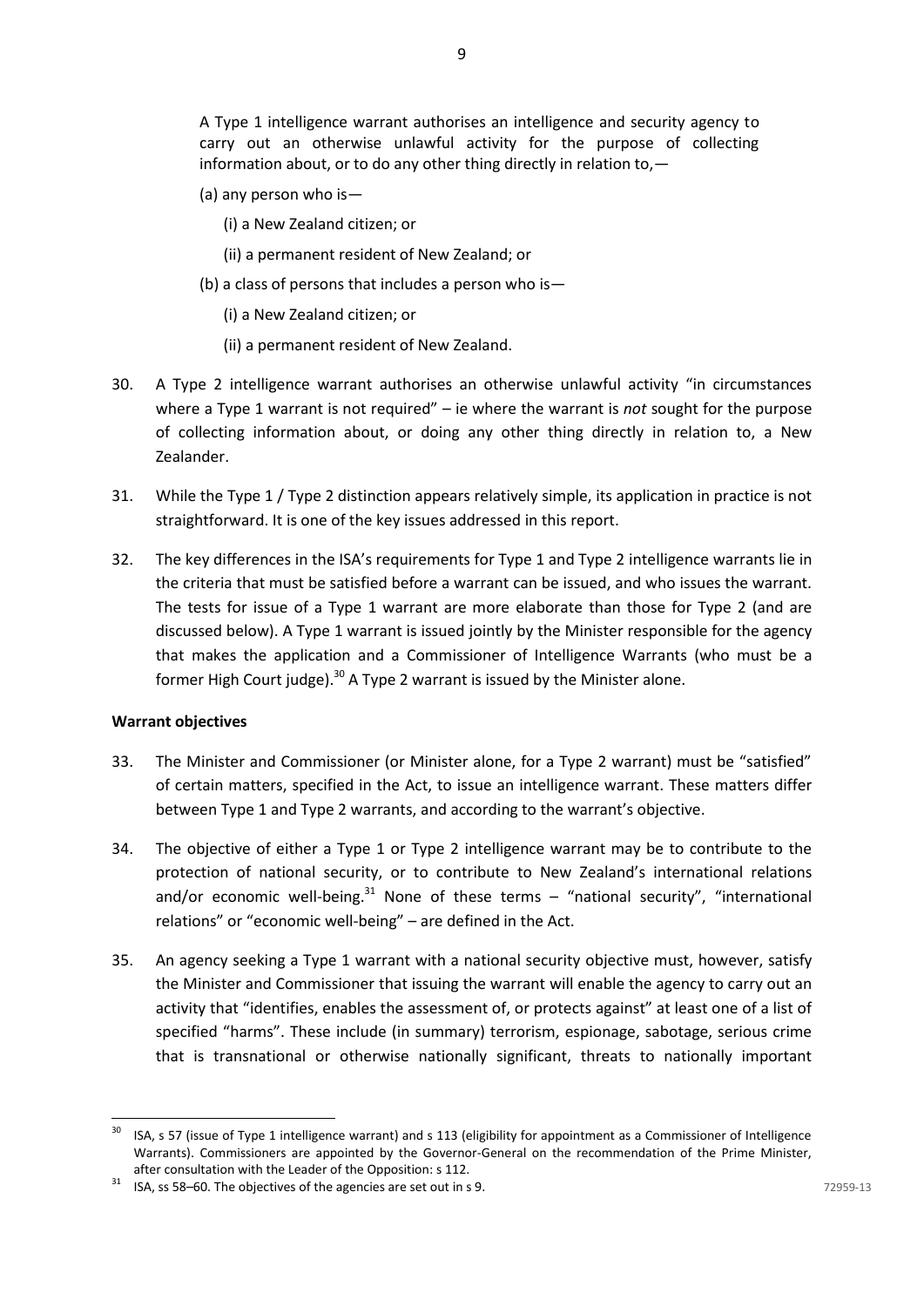A Type 1 intelligence warrant authorises an intelligence and security agency to carry out an otherwise unlawful activity for the purpose of collecting information about, or to do any other thing directly in relation to,—

- (a) any person who is—
	- (i) a New Zealand citizen; or
	- (ii) a permanent resident of New Zealand; or
- (b) a class of persons that includes a person who is—
	- (i) a New Zealand citizen; or
	- (ii) a permanent resident of New Zealand.
- 30. A Type 2 intelligence warrant authorises an otherwise unlawful activity "in circumstances where a Type 1 warrant is not required" – ie where the warrant is *not* sought for the purpose of collecting information about, or doing any other thing directly in relation to, a New Zealander.
- 31. While the Type 1 / Type 2 distinction appears relatively simple, its application in practice is not straightforward. It is one of the key issues addressed in this report.
- 32. The key differences in the ISA's requirements for Type 1 and Type 2 intelligence warrants lie in the criteria that must be satisfied before a warrant can be issued, and who issues the warrant. The tests for issue of a Type 1 warrant are more elaborate than those for Type 2 (and are discussed below). A Type 1 warrant is issued jointly by the Minister responsible for the agency that makes the application and a Commissioner of Intelligence Warrants (who must be a former High Court judge).<sup>30</sup> A Type 2 warrant is issued by the Minister alone.

## <span id="page-9-0"></span>**Warrant objectives**

1

- 33. The Minister and Commissioner (or Minister alone, for a Type 2 warrant) must be "satisfied" of certain matters, specified in the Act, to issue an intelligence warrant. These matters differ between Type 1 and Type 2 warrants, and according to the warrant's objective.
- 34. The objective of either a Type 1 or Type 2 intelligence warrant may be to contribute to the protection of national security, or to contribute to New Zealand's international relations and/or economic well-being.<sup>31</sup> None of these terms – "national security", "international relations" or "economic well-being" – are defined in the Act.
- 35. An agency seeking a Type 1 warrant with a national security objective must, however, satisfy the Minister and Commissioner that issuing the warrant will enable the agency to carry out an activity that "identifies, enables the assessment of, or protects against" at least one of a list of specified "harms". These include (in summary) terrorism, espionage, sabotage, serious crime that is transnational or otherwise nationally significant, threats to nationally important

<sup>&</sup>lt;sup>30</sup> ISA, s 57 (issue of Type 1 intelligence warrant) and s 113 (eligibility for appointment as a Commissioner of Intelligence Warrants). Commissioners are appointed by the Governor-General on the recommendation of the Prime Minister, after consultation with the Leader of the Opposition: s 112.

 $31$  ISA, ss 58–60. The objectives of the agencies are set out in s 9.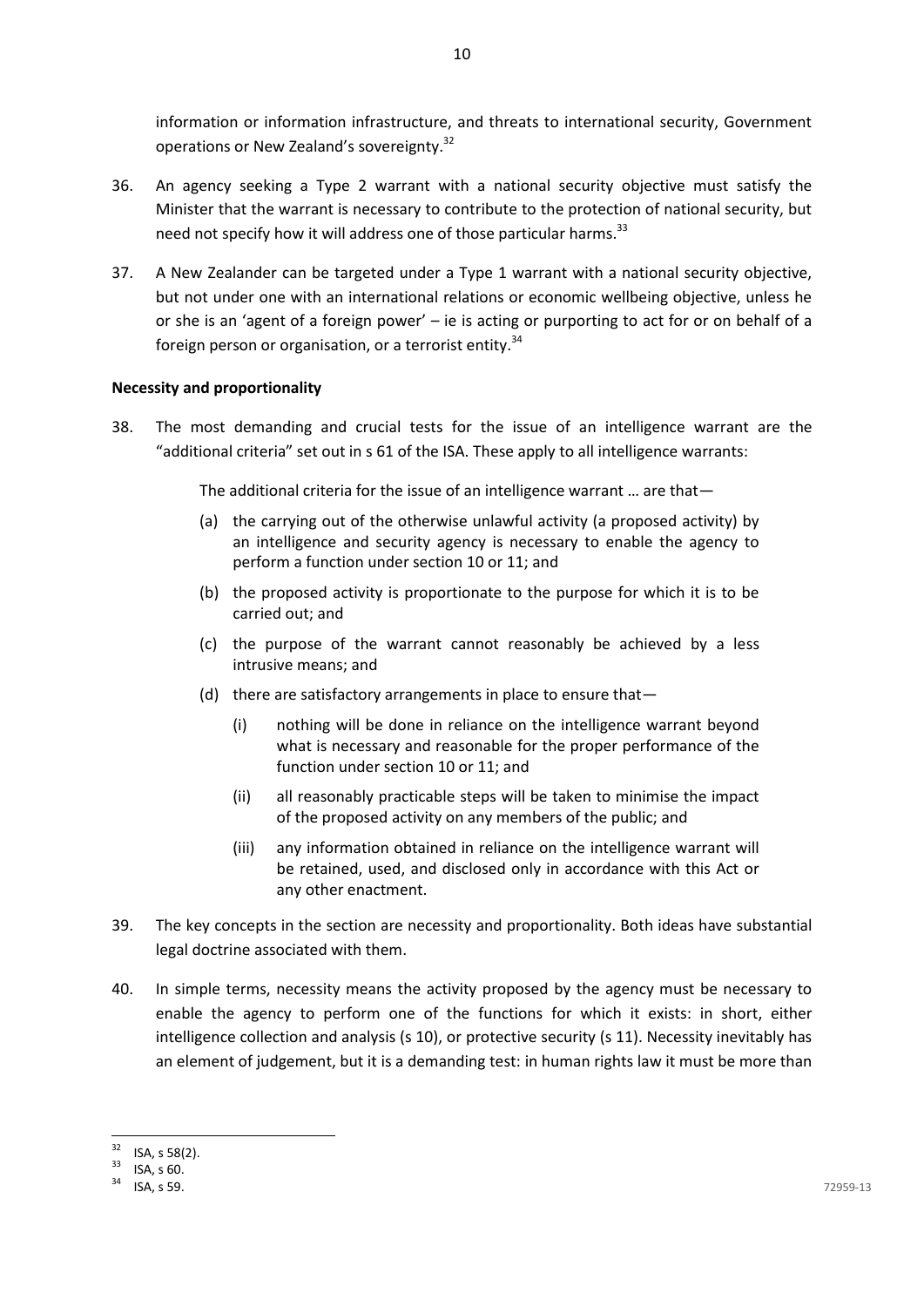information or information infrastructure, and threats to international security, Government operations or New Zealand's sovereignty.<sup>32</sup>

- 36. An agency seeking a Type 2 warrant with a national security objective must satisfy the Minister that the warrant is necessary to contribute to the protection of national security, but need not specify how it will address one of those particular harms.<sup>33</sup>
- 37. A New Zealander can be targeted under a Type 1 warrant with a national security objective, but not under one with an international relations or economic wellbeing objective, unless he or she is an 'agent of a foreign power' – ie is acting or purporting to act for or on behalf of a foreign person or organisation, or a terrorist entity.<sup>34</sup>

## <span id="page-10-0"></span>**Necessity and proportionality**

<span id="page-10-1"></span>38. The most demanding and crucial tests for the issue of an intelligence warrant are the "additional criteria" set out in s 61 of the ISA. These apply to all intelligence warrants:

The additional criteria for the issue of an intelligence warrant … are that—

- (a) the carrying out of the otherwise unlawful activity (a proposed activity) by an intelligence and security agency is necessary to enable the agency to perform a function under section 10 or 11; and
- (b) the proposed activity is proportionate to the purpose for which it is to be carried out; and
- (c) the purpose of the warrant cannot reasonably be achieved by a less intrusive means; and
- (d) there are satisfactory arrangements in place to ensure that—
	- (i) nothing will be done in reliance on the intelligence warrant beyond what is necessary and reasonable for the proper performance of the function under section 10 or 11; and
	- (ii) all reasonably practicable steps will be taken to minimise the impact of the proposed activity on any members of the public; and
	- (iii) any information obtained in reliance on the intelligence warrant will be retained, used, and disclosed only in accordance with this Act or any other enactment.
- 39. The key concepts in the section are necessity and proportionality. Both ideas have substantial legal doctrine associated with them.
- 40. In simple terms, necessity means the activity proposed by the agency must be necessary to enable the agency to perform one of the functions for which it exists: in short, either intelligence collection and analysis (s 10), or protective security (s 11). Necessity inevitably has an element of judgement, but it is a demanding test: in human rights law it must be more than

<sup>1</sup>  $32$  ISA, s 58(2).

 $33$  ISA, s 60.

 $34$  ISA, s 59.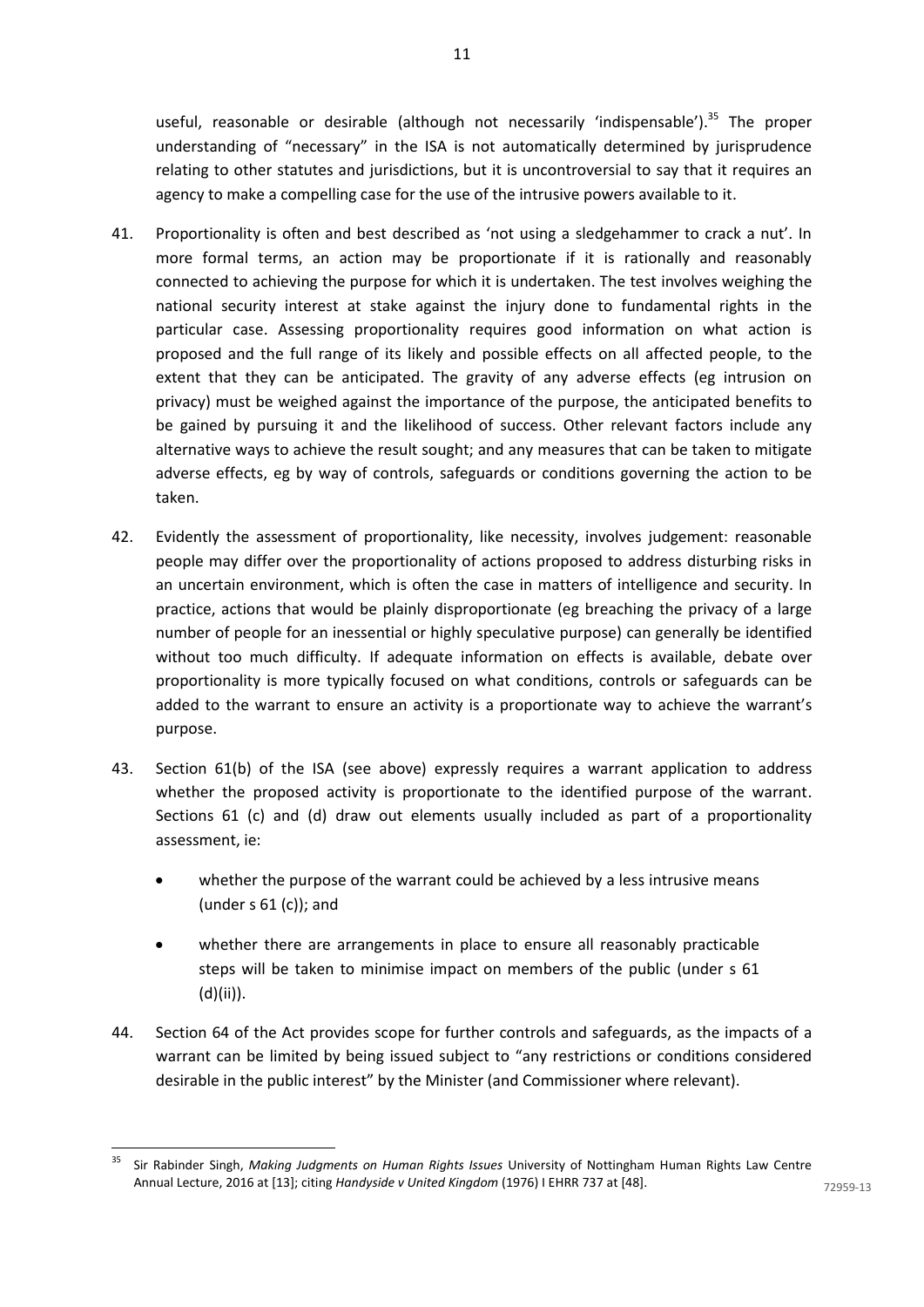useful, reasonable or desirable (although not necessarily 'indispensable').<sup>35</sup> The proper understanding of "necessary" in the ISA is not automatically determined by jurisprudence relating to other statutes and jurisdictions, but it is uncontroversial to say that it requires an agency to make a compelling case for the use of the intrusive powers available to it.

- 41. Proportionality is often and best described as 'not using a sledgehammer to crack a nut'. In more formal terms, an action may be proportionate if it is rationally and reasonably connected to achieving the purpose for which it is undertaken. The test involves weighing the national security interest at stake against the injury done to fundamental rights in the particular case. Assessing proportionality requires good information on what action is proposed and the full range of its likely and possible effects on all affected people, to the extent that they can be anticipated. The gravity of any adverse effects (eg intrusion on privacy) must be weighed against the importance of the purpose, the anticipated benefits to be gained by pursuing it and the likelihood of success. Other relevant factors include any alternative ways to achieve the result sought; and any measures that can be taken to mitigate adverse effects, eg by way of controls, safeguards or conditions governing the action to be taken.
- 42. Evidently the assessment of proportionality, like necessity, involves judgement: reasonable people may differ over the proportionality of actions proposed to address disturbing risks in an uncertain environment, which is often the case in matters of intelligence and security. In practice, actions that would be plainly disproportionate (eg breaching the privacy of a large number of people for an inessential or highly speculative purpose) can generally be identified without too much difficulty. If adequate information on effects is available, debate over proportionality is more typically focused on what conditions, controls or safeguards can be added to the warrant to ensure an activity is a proportionate way to achieve the warrant's purpose.
- 43. Section 61(b) of the ISA (see above) expressly requires a warrant application to address whether the proposed activity is proportionate to the identified purpose of the warrant. Sections 61 (c) and (d) draw out elements usually included as part of a proportionality assessment, ie:
	- whether the purpose of the warrant could be achieved by a less intrusive means (under s 61 (c)); and
	- whether there are arrangements in place to ensure all reasonably practicable steps will be taken to minimise impact on members of the public (under s 61 (d)(ii)).
- 44. Section 64 of the Act provides scope for further controls and safeguards, as the impacts of a warrant can be limited by being issued subject to "any restrictions or conditions considered desirable in the public interest" by the Minister (and Commissioner where relevant).

<sup>35</sup> Sir Rabinder Singh, *Making Judgments on Human Rights Issues* University of Nottingham Human Rights Law Centre Annual Lecture, 2016 at [13]; citing *Handyside v United Kingdom* (1976) I EHRR 737 at [48].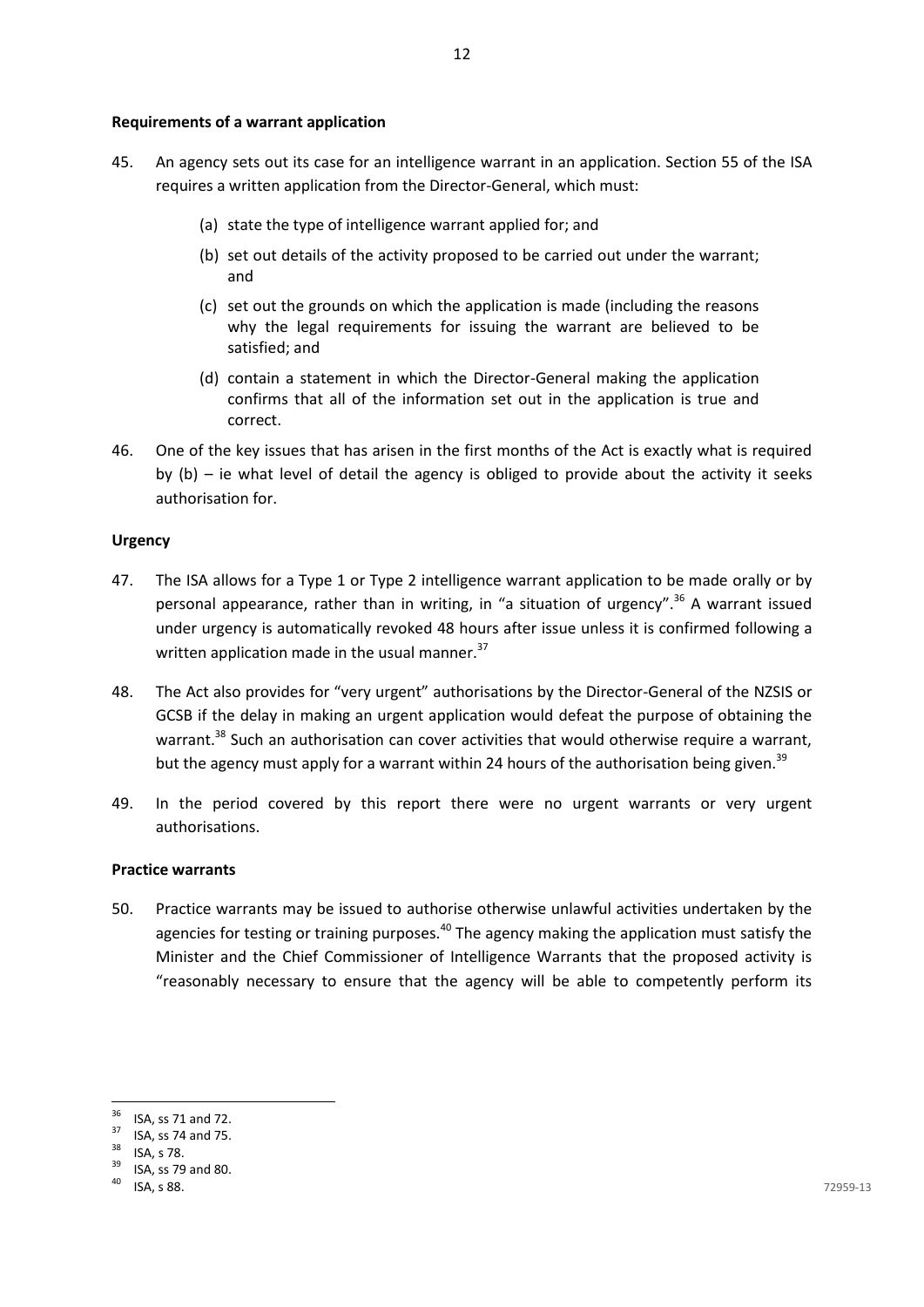#### <span id="page-12-0"></span>**Requirements of a warrant application**

- 45. An agency sets out its case for an intelligence warrant in an application. Section 55 of the ISA requires a written application from the Director-General, which must:
	- (a) state the type of intelligence warrant applied for; and
	- (b) set out details of the activity proposed to be carried out under the warrant; and
	- (c) set out the grounds on which the application is made (including the reasons why the legal requirements for issuing the warrant are believed to be satisfied; and
	- (d) contain a statement in which the Director-General making the application confirms that all of the information set out in the application is true and correct.
- 46. One of the key issues that has arisen in the first months of the Act is exactly what is required by  $(b)$  – ie what level of detail the agency is obliged to provide about the activity it seeks authorisation for.

#### <span id="page-12-1"></span>**Urgency**

- 47. The ISA allows for a Type 1 or Type 2 intelligence warrant application to be made orally or by personal appearance, rather than in writing, in "a situation of urgency".<sup>36</sup> A warrant issued under urgency is automatically revoked 48 hours after issue unless it is confirmed following a written application made in the usual manner. $37$
- 48. The Act also provides for "very urgent" authorisations by the Director-General of the NZSIS or GCSB if the delay in making an urgent application would defeat the purpose of obtaining the warrant.<sup>38</sup> Such an authorisation can cover activities that would otherwise require a warrant, but the agency must apply for a warrant within 24 hours of the authorisation being given.<sup>39</sup>
- 49. In the period covered by this report there were no urgent warrants or very urgent authorisations.

#### <span id="page-12-2"></span>**Practice warrants**

50. Practice warrants may be issued to authorise otherwise unlawful activities undertaken by the agencies for testing or training purposes.<sup>40</sup> The agency making the application must satisfy the Minister and the Chief Commissioner of Intelligence Warrants that the proposed activity is "reasonably necessary to ensure that the agency will be able to competently perform its

 $36$  ISA, ss 71 and 72.

 $^{37}$  ISA, ss 74 and 75.

<sup>38</sup> ISA, s 78.

<sup>39</sup> ISA, ss 79 and 80.

 $40$  ISA, s 88.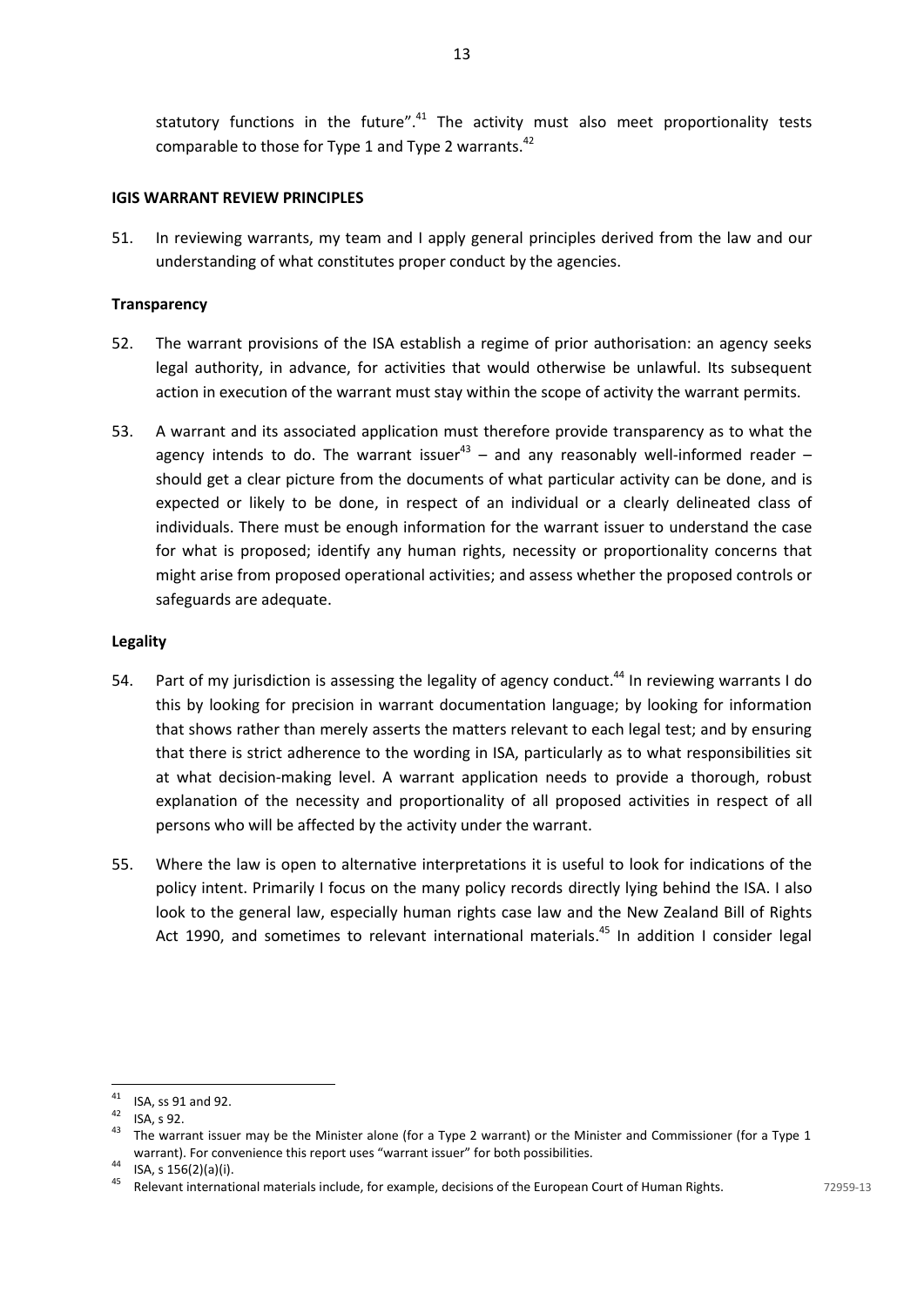statutory functions in the future". $41$  The activity must also meet proportionality tests comparable to those for Type 1 and Type 2 warrants. $42$ 

#### <span id="page-13-0"></span>**IGIS WARRANT REVIEW PRINCIPLES**

51. In reviewing warrants, my team and I apply general principles derived from the law and our understanding of what constitutes proper conduct by the agencies.

#### <span id="page-13-1"></span>**Transparency**

- 52. The warrant provisions of the ISA establish a regime of prior authorisation: an agency seeks legal authority, in advance, for activities that would otherwise be unlawful. Its subsequent action in execution of the warrant must stay within the scope of activity the warrant permits.
- 53. A warrant and its associated application must therefore provide transparency as to what the agency intends to do. The warrant issuer<sup>43</sup> – and any reasonably well-informed reader – should get a clear picture from the documents of what particular activity can be done, and is expected or likely to be done, in respect of an individual or a clearly delineated class of individuals. There must be enough information for the warrant issuer to understand the case for what is proposed; identify any human rights, necessity or proportionality concerns that might arise from proposed operational activities; and assess whether the proposed controls or safeguards are adequate.

#### <span id="page-13-2"></span>**Legality**

- 54. Part of my jurisdiction is assessing the legality of agency conduct.<sup>44</sup> In reviewing warrants I do this by looking for precision in warrant documentation language; by looking for information that shows rather than merely asserts the matters relevant to each legal test; and by ensuring that there is strict adherence to the wording in ISA, particularly as to what responsibilities sit at what decision-making level. A warrant application needs to provide a thorough, robust explanation of the necessity and proportionality of all proposed activities in respect of all persons who will be affected by the activity under the warrant.
- 55. Where the law is open to alternative interpretations it is useful to look for indications of the policy intent. Primarily I focus on the many policy records directly lying behind the ISA. I also look to the general law, especially human rights case law and the New Zealand Bill of Rights Act 1990, and sometimes to relevant international materials.<sup>45</sup> In addition I consider legal

 $41$  ISA, ss 91 and 92.

 $42$  ISA, s 92.

 $43$  The warrant issuer may be the Minister alone (for a Type 2 warrant) or the Minister and Commissioner (for a Type 1 warrant). For convenience this report uses "warrant issuer" for both possibilities.

<sup>44</sup> ISA, s 156(2)(a)(i).

<sup>45</sup> Relevant international materials include, for example, decisions of the European Court of Human Rights.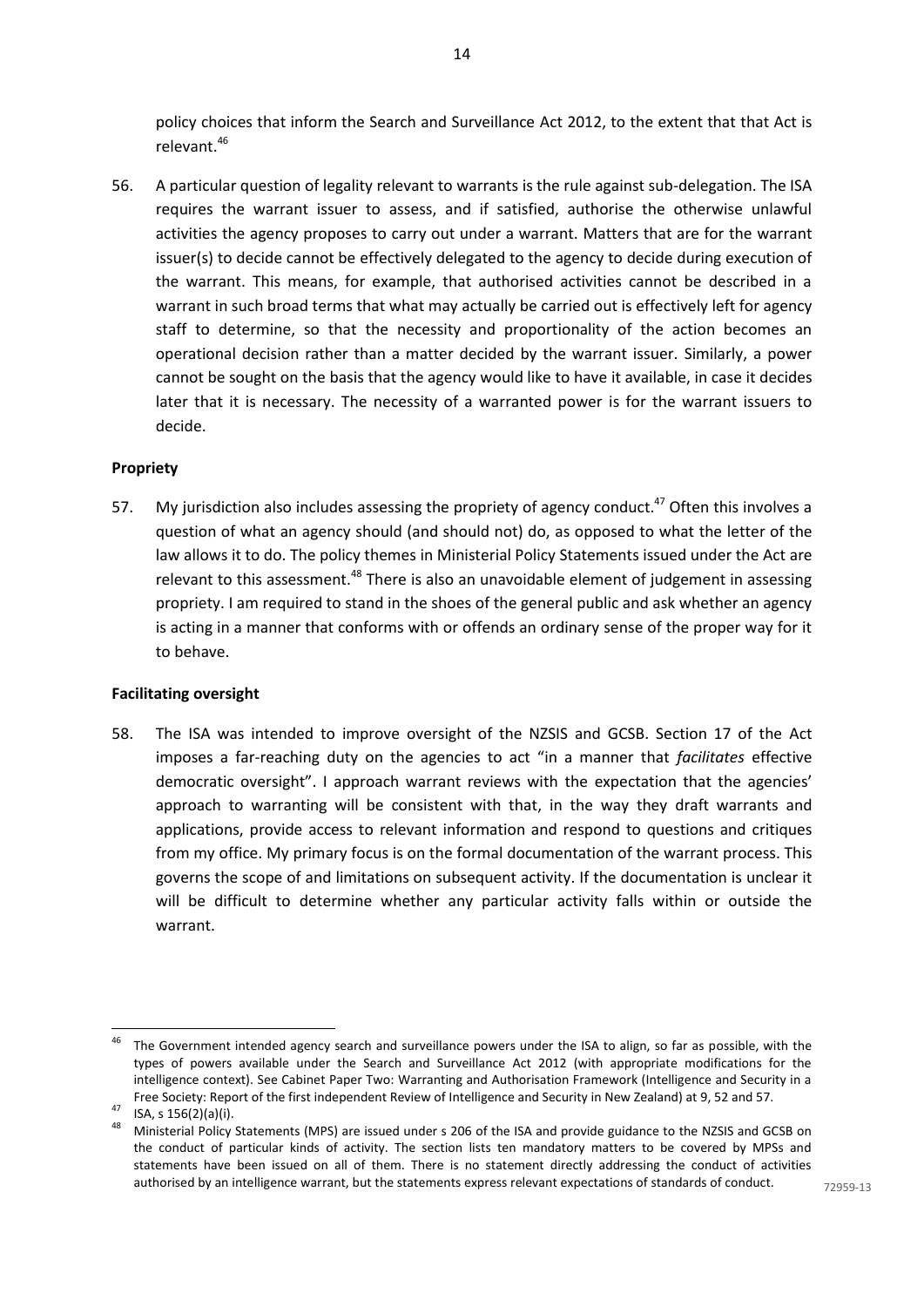policy choices that inform the Search and Surveillance Act 2012, to the extent that that Act is relevant. 46

56. A particular question of legality relevant to warrants is the rule against sub-delegation. The ISA requires the warrant issuer to assess, and if satisfied, authorise the otherwise unlawful activities the agency proposes to carry out under a warrant. Matters that are for the warrant issuer(s) to decide cannot be effectively delegated to the agency to decide during execution of the warrant. This means, for example, that authorised activities cannot be described in a warrant in such broad terms that what may actually be carried out is effectively left for agency staff to determine, so that the necessity and proportionality of the action becomes an operational decision rather than a matter decided by the warrant issuer. Similarly, a power cannot be sought on the basis that the agency would like to have it available, in case it decides later that it is necessary. The necessity of a warranted power is for the warrant issuers to decide.

## <span id="page-14-0"></span>**Propriety**

57. My jurisdiction also includes assessing the propriety of agency conduct.<sup>47</sup> Often this involves a question of what an agency should (and should not) do, as opposed to what the letter of the law allows it to do. The policy themes in Ministerial Policy Statements issued under the Act are relevant to this assessment.<sup>48</sup> There is also an unavoidable element of judgement in assessing propriety. I am required to stand in the shoes of the general public and ask whether an agency is acting in a manner that conforms with or offends an ordinary sense of the proper way for it to behave.

## <span id="page-14-1"></span>**Facilitating oversight**

58. The ISA was intended to improve oversight of the NZSIS and GCSB. Section 17 of the Act imposes a far-reaching duty on the agencies to act "in a manner that *facilitates* effective democratic oversight". I approach warrant reviews with the expectation that the agencies' approach to warranting will be consistent with that, in the way they draft warrants and applications, provide access to relevant information and respond to questions and critiques from my office. My primary focus is on the formal documentation of the warrant process. This governs the scope of and limitations on subsequent activity. If the documentation is unclear it will be difficult to determine whether any particular activity falls within or outside the warrant.

**<sup>.</sup>** The Government intended agency search and surveillance powers under the ISA to align, so far as possible, with the types of powers available under the Search and Surveillance Act 2012 (with appropriate modifications for the intelligence context). See Cabinet Paper Two: Warranting and Authorisation Framework (Intelligence and Security in a Free Society: Report of the first independent Review of Intelligence and Security in New Zealand) at 9, 52 and 57.

 $47$  ISA, s 156(2)(a)(i).

<sup>48</sup> Ministerial Policy Statements (MPS) are issued under s 206 of the ISA and provide guidance to the NZSIS and GCSB on the conduct of particular kinds of activity. The section lists ten mandatory matters to be covered by MPSs and statements have been issued on all of them. There is no statement directly addressing the conduct of activities authorised by an intelligence warrant, but the statements express relevant expectations of standards of conduct.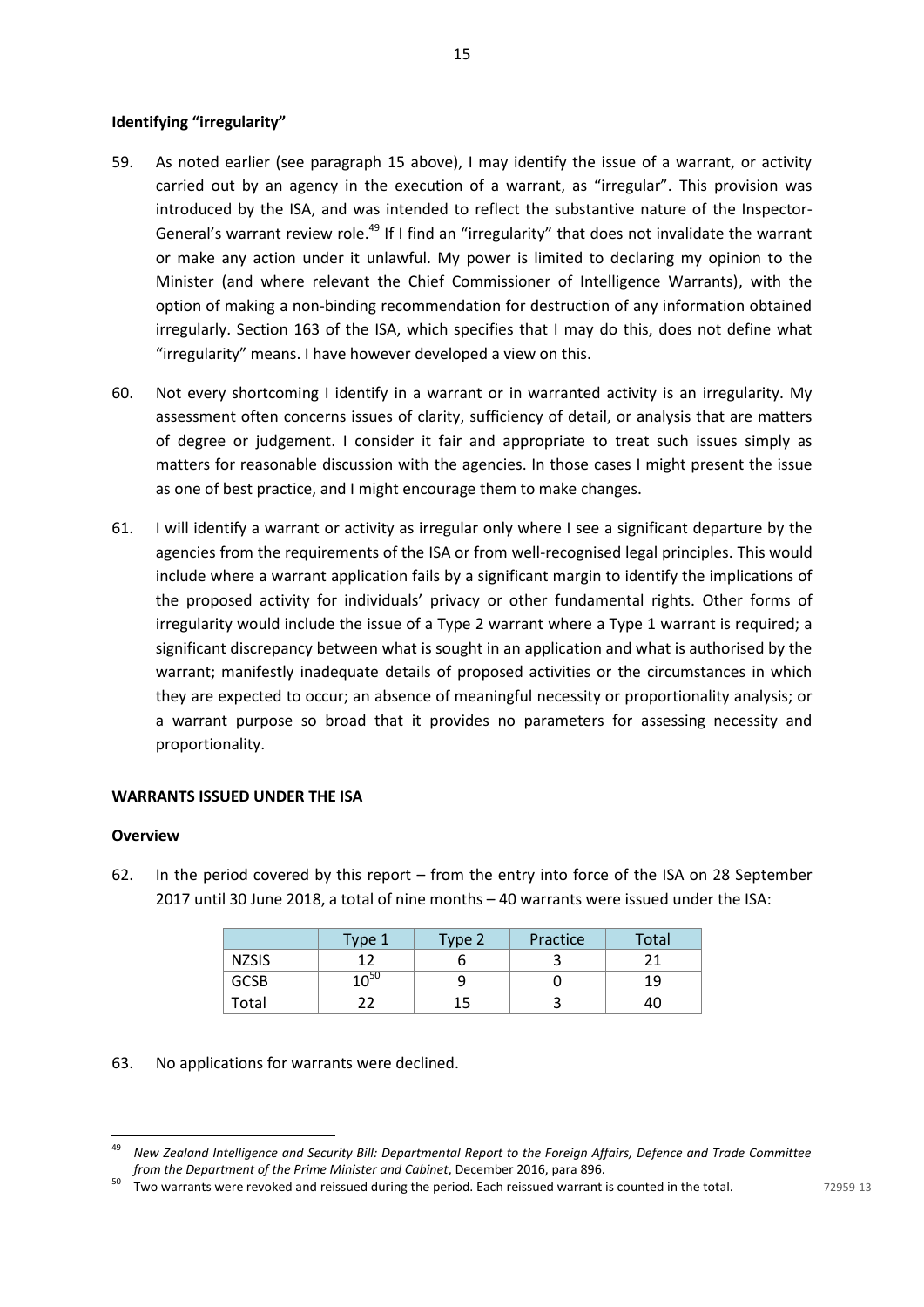## <span id="page-15-0"></span>**Identifying "irregularity"**

- 59. As noted earlier (see paragraph 15 above), I may identify the issue of a warrant, or activity carried out by an agency in the execution of a warrant, as "irregular". This provision was introduced by the ISA, and was intended to reflect the substantive nature of the Inspector-General's warrant review role.<sup>49</sup> If I find an "irregularity" that does not invalidate the warrant or make any action under it unlawful. My power is limited to declaring my opinion to the Minister (and where relevant the Chief Commissioner of Intelligence Warrants), with the option of making a non-binding recommendation for destruction of any information obtained irregularly. Section 163 of the ISA, which specifies that I may do this, does not define what "irregularity" means. I have however developed a view on this.
- 60. Not every shortcoming I identify in a warrant or in warranted activity is an irregularity. My assessment often concerns issues of clarity, sufficiency of detail, or analysis that are matters of degree or judgement. I consider it fair and appropriate to treat such issues simply as matters for reasonable discussion with the agencies. In those cases I might present the issue as one of best practice, and I might encourage them to make changes.
- 61. I will identify a warrant or activity as irregular only where I see a significant departure by the agencies from the requirements of the ISA or from well-recognised legal principles. This would include where a warrant application fails by a significant margin to identify the implications of the proposed activity for individuals' privacy or other fundamental rights. Other forms of irregularity would include the issue of a Type 2 warrant where a Type 1 warrant is required; a significant discrepancy between what is sought in an application and what is authorised by the warrant; manifestly inadequate details of proposed activities or the circumstances in which they are expected to occur; an absence of meaningful necessity or proportionality analysis; or a warrant purpose so broad that it provides no parameters for assessing necessity and proportionality.

# <span id="page-15-1"></span>**WARRANTS ISSUED UNDER THE ISA**

## <span id="page-15-2"></span>**Overview**

62. In the period covered by this report – from the entry into force of the ISA on 28 September 2017 until 30 June 2018, a total of nine months – 40 warrants were issued under the ISA:

|              | Type 1                   | Type 2 | Practice | Total |
|--------------|--------------------------|--------|----------|-------|
| <b>NZSIS</b> |                          |        |          |       |
| <b>GCSB</b>  | 1 $\Omega$ <sup>50</sup> |        |          | 1 Q   |
| Total        |                          |        |          |       |

63. No applications for warrants were declined.

<sup>1</sup> <sup>49</sup> *New Zealand Intelligence and Security Bill: Departmental Report to the Foreign Affairs, Defence and Trade Committee from the Department of the Prime Minister and Cabinet*, December 2016, para 896.

<sup>50</sup> Two warrants were revoked and reissued during the period. Each reissued warrant is counted in the total.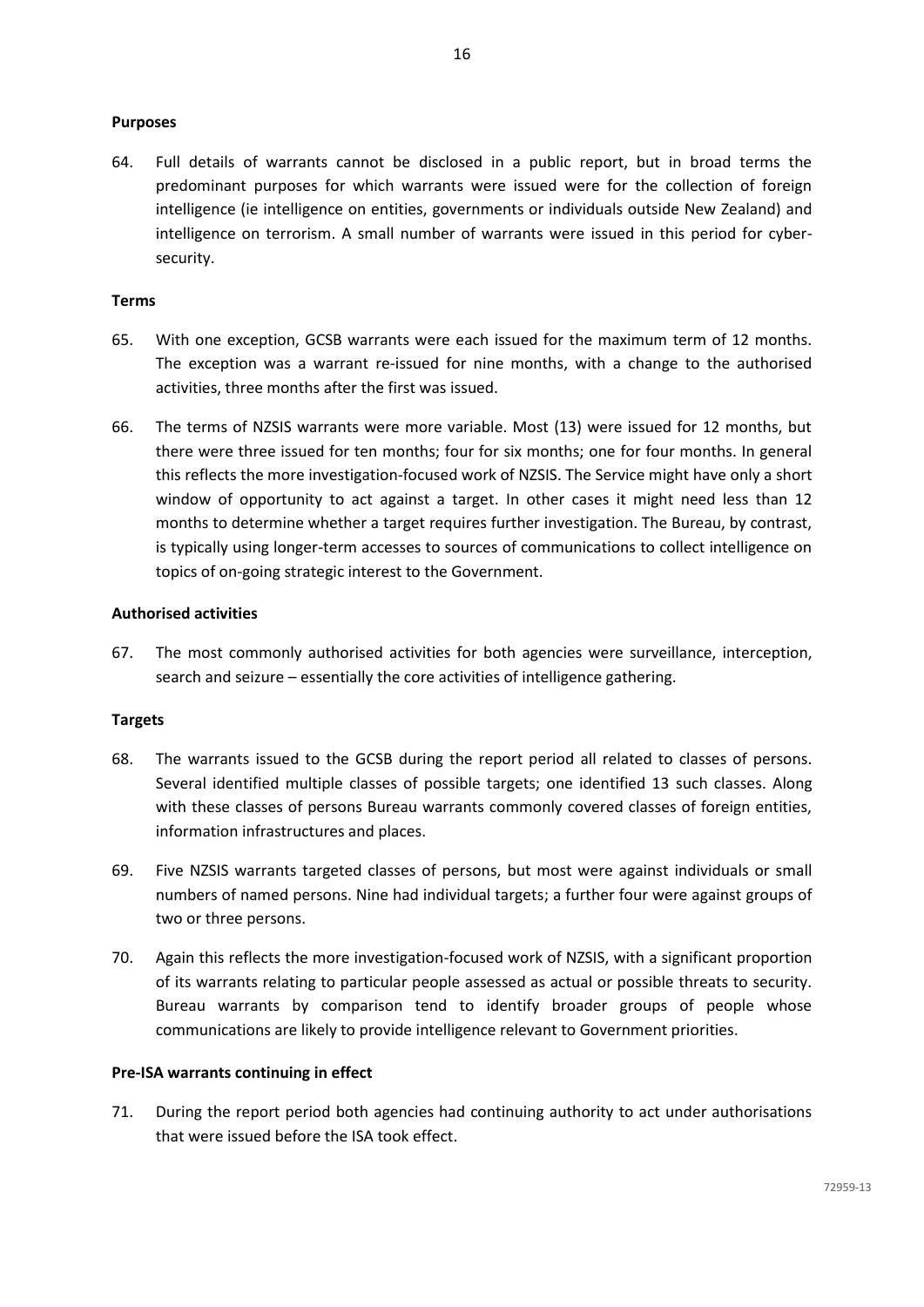## <span id="page-16-0"></span>**Purposes**

64. Full details of warrants cannot be disclosed in a public report, but in broad terms the predominant purposes for which warrants were issued were for the collection of foreign intelligence (ie intelligence on entities, governments or individuals outside New Zealand) and intelligence on terrorism. A small number of warrants were issued in this period for cybersecurity.

## <span id="page-16-1"></span>**Terms**

- 65. With one exception, GCSB warrants were each issued for the maximum term of 12 months. The exception was a warrant re-issued for nine months, with a change to the authorised activities, three months after the first was issued.
- 66. The terms of NZSIS warrants were more variable. Most (13) were issued for 12 months, but there were three issued for ten months; four for six months; one for four months. In general this reflects the more investigation-focused work of NZSIS. The Service might have only a short window of opportunity to act against a target. In other cases it might need less than 12 months to determine whether a target requires further investigation. The Bureau, by contrast, is typically using longer-term accesses to sources of communications to collect intelligence on topics of on-going strategic interest to the Government.

## <span id="page-16-2"></span>**Authorised activities**

67. The most commonly authorised activities for both agencies were surveillance, interception, search and seizure – essentially the core activities of intelligence gathering.

## <span id="page-16-3"></span>**Targets**

- 68. The warrants issued to the GCSB during the report period all related to classes of persons. Several identified multiple classes of possible targets; one identified 13 such classes. Along with these classes of persons Bureau warrants commonly covered classes of foreign entities, information infrastructures and places.
- 69. Five NZSIS warrants targeted classes of persons, but most were against individuals or small numbers of named persons. Nine had individual targets; a further four were against groups of two or three persons.
- 70. Again this reflects the more investigation-focused work of NZSIS, with a significant proportion of its warrants relating to particular people assessed as actual or possible threats to security. Bureau warrants by comparison tend to identify broader groups of people whose communications are likely to provide intelligence relevant to Government priorities.

#### <span id="page-16-4"></span>**Pre-ISA warrants continuing in effect**

71. During the report period both agencies had continuing authority to act under authorisations that were issued before the ISA took effect.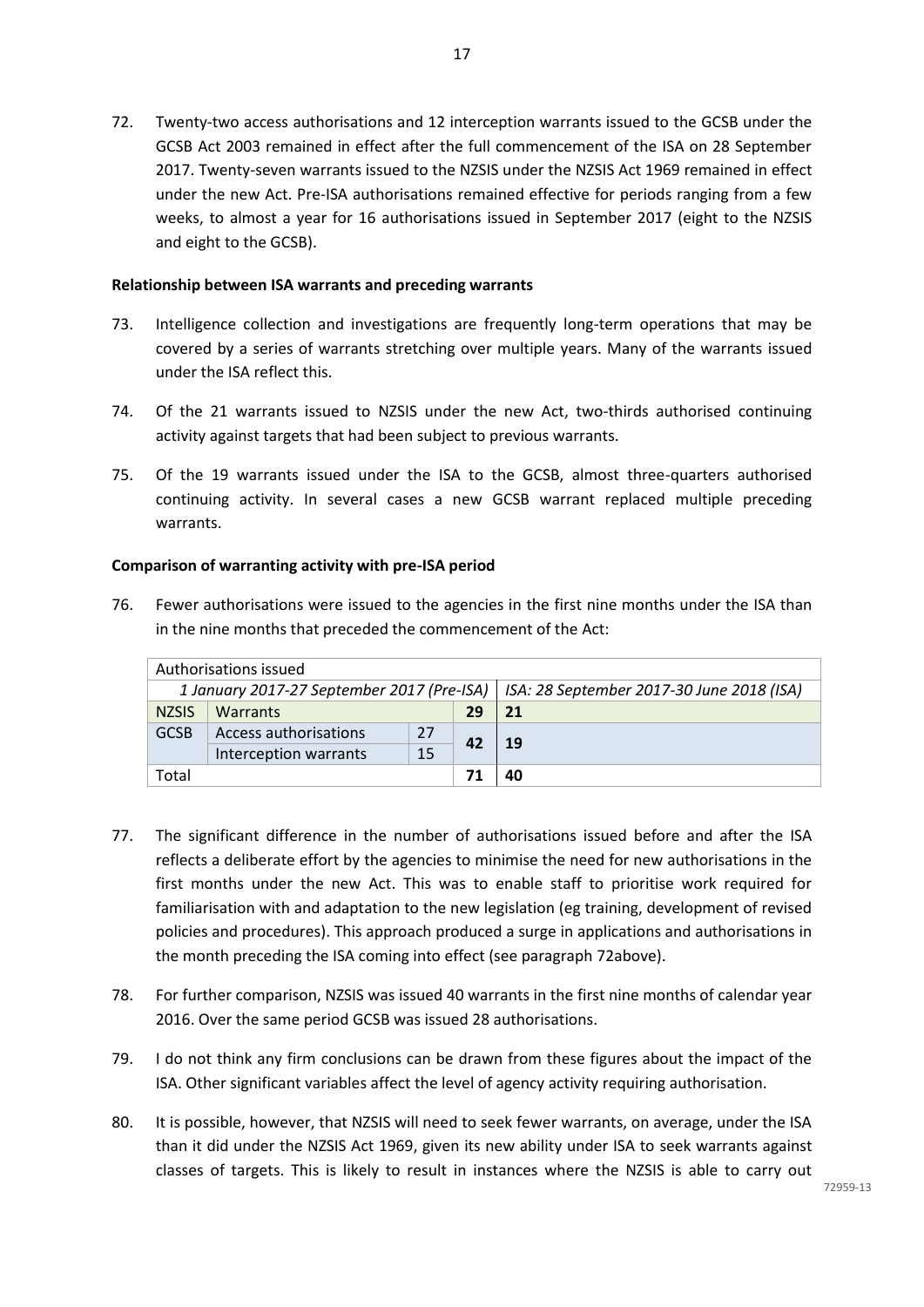72. Twenty-two access authorisations and 12 interception warrants issued to the GCSB under the GCSB Act 2003 remained in effect after the full commencement of the ISA on 28 September 2017. Twenty-seven warrants issued to the NZSIS under the NZSIS Act 1969 remained in effect under the new Act. Pre-ISA authorisations remained effective for periods ranging from a few weeks, to almost a year for 16 authorisations issued in September 2017 (eight to the NZSIS and eight to the GCSB).

## <span id="page-17-0"></span>**Relationship between ISA warrants and preceding warrants**

- 73. Intelligence collection and investigations are frequently long-term operations that may be covered by a series of warrants stretching over multiple years. Many of the warrants issued under the ISA reflect this.
- 74. Of the 21 warrants issued to NZSIS under the new Act, two-thirds authorised continuing activity against targets that had been subject to previous warrants.
- 75. Of the 19 warrants issued under the ISA to the GCSB, almost three-quarters authorised continuing activity. In several cases a new GCSB warrant replaced multiple preceding warrants.

# <span id="page-17-1"></span>**Comparison of warranting activity with pre-ISA period**

76. Fewer authorisations were issued to the agencies in the first nine months under the ISA than in the nine months that preceded the commencement of the Act:

| Authorisations issued                                                                  |                       |    |    |      |  |
|----------------------------------------------------------------------------------------|-----------------------|----|----|------|--|
| 1 January 2017-27 September 2017 (Pre-ISA)   ISA: 28 September 2017-30 June 2018 (ISA) |                       |    |    |      |  |
| <b>NZSIS</b>                                                                           | Warrants              |    | 29 | 21   |  |
| <b>GCSB</b>                                                                            | Access authorisations | 27 | 42 | - 19 |  |
|                                                                                        | Interception warrants | 15 |    |      |  |
| Total                                                                                  |                       |    | 71 | 40   |  |

- 77. The significant difference in the number of authorisations issued before and after the ISA reflects a deliberate effort by the agencies to minimise the need for new authorisations in the first months under the new Act. This was to enable staff to prioritise work required for familiarisation with and adaptation to the new legislation (eg training, development of revised policies and procedures). This approach produced a surge in applications and authorisations in the month preceding the ISA coming into effect (see paragraph 72above).
- 78. For further comparison, NZSIS was issued 40 warrants in the first nine months of calendar year 2016. Over the same period GCSB was issued 28 authorisations.
- 79. I do not think any firm conclusions can be drawn from these figures about the impact of the ISA. Other significant variables affect the level of agency activity requiring authorisation.
- 80. It is possible, however, that NZSIS will need to seek fewer warrants, on average, under the ISA than it did under the NZSIS Act 1969, given its new ability under ISA to seek warrants against classes of targets. This is likely to result in instances where the NZSIS is able to carry out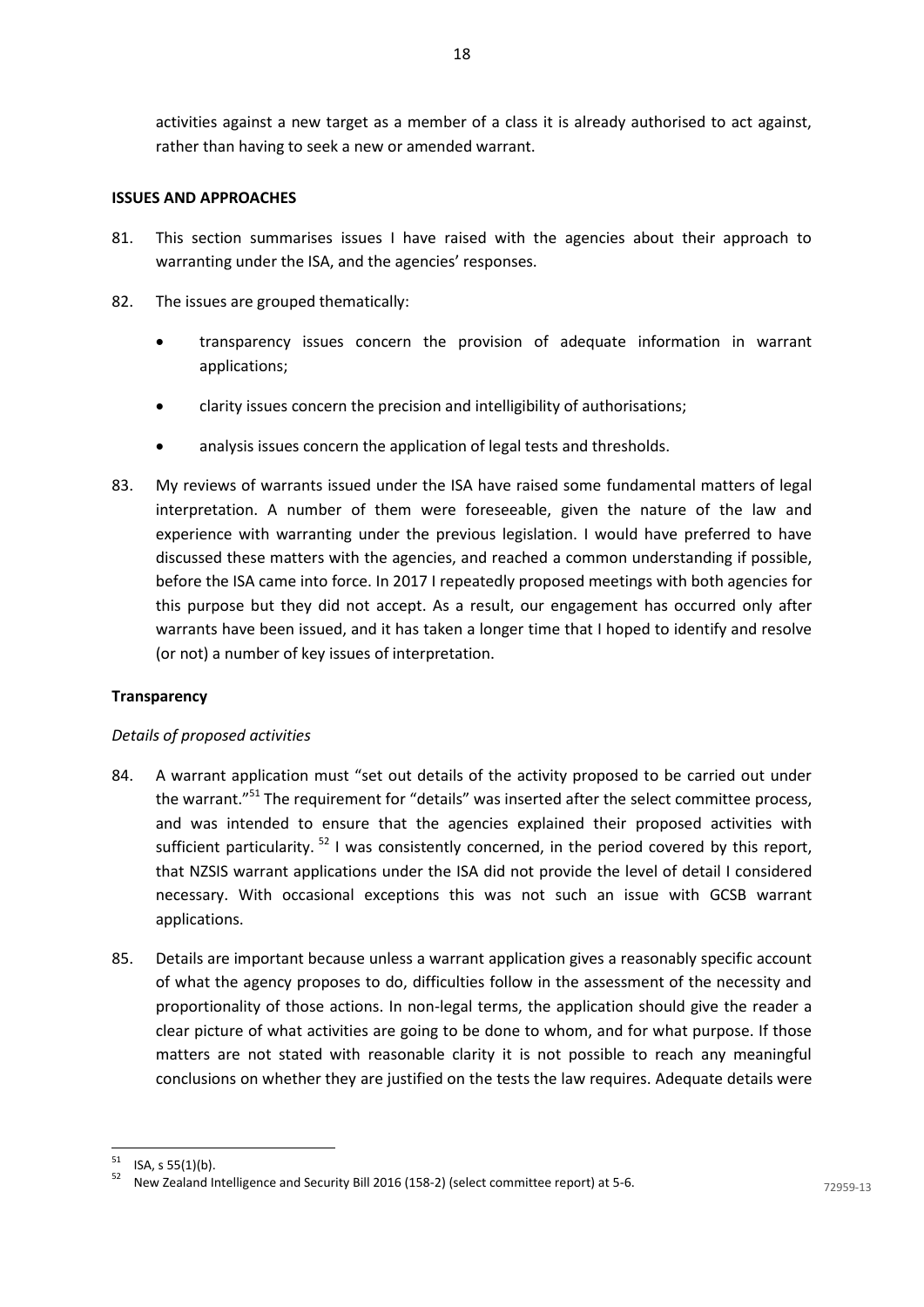activities against a new target as a member of a class it is already authorised to act against, rather than having to seek a new or amended warrant.

#### <span id="page-18-0"></span>**ISSUES AND APPROACHES**

- 81. This section summarises issues I have raised with the agencies about their approach to warranting under the ISA, and the agencies' responses.
- 82. The issues are grouped thematically:
	- transparency issues concern the provision of adequate information in warrant applications;
	- clarity issues concern the precision and intelligibility of authorisations;
	- analysis issues concern the application of legal tests and thresholds.
- 83. My reviews of warrants issued under the ISA have raised some fundamental matters of legal interpretation. A number of them were foreseeable, given the nature of the law and experience with warranting under the previous legislation. I would have preferred to have discussed these matters with the agencies, and reached a common understanding if possible, before the ISA came into force. In 2017 I repeatedly proposed meetings with both agencies for this purpose but they did not accept. As a result, our engagement has occurred only after warrants have been issued, and it has taken a longer time that I hoped to identify and resolve (or not) a number of key issues of interpretation.

## <span id="page-18-1"></span>**Transparency**

#### <span id="page-18-2"></span>*Details of proposed activities*

- 84. A warrant application must "set out details of the activity proposed to be carried out under the warrant."<sup>51</sup> The requirement for "details" was inserted after the select committee process, and was intended to ensure that the agencies explained their proposed activities with sufficient particularity.  $52$  I was consistently concerned, in the period covered by this report, that NZSIS warrant applications under the ISA did not provide the level of detail I considered necessary. With occasional exceptions this was not such an issue with GCSB warrant applications.
- 85. Details are important because unless a warrant application gives a reasonably specific account of what the agency proposes to do, difficulties follow in the assessment of the necessity and proportionality of those actions. In non-legal terms, the application should give the reader a clear picture of what activities are going to be done to whom, and for what purpose. If those matters are not stated with reasonable clarity it is not possible to reach any meaningful conclusions on whether they are justified on the tests the law requires. Adequate details were

 $\frac{1}{51}$ ISA, s 55(1)(b).

<sup>52</sup> New Zealand Intelligence and Security Bill 2016 (158-2) (select committee report) at 5-6.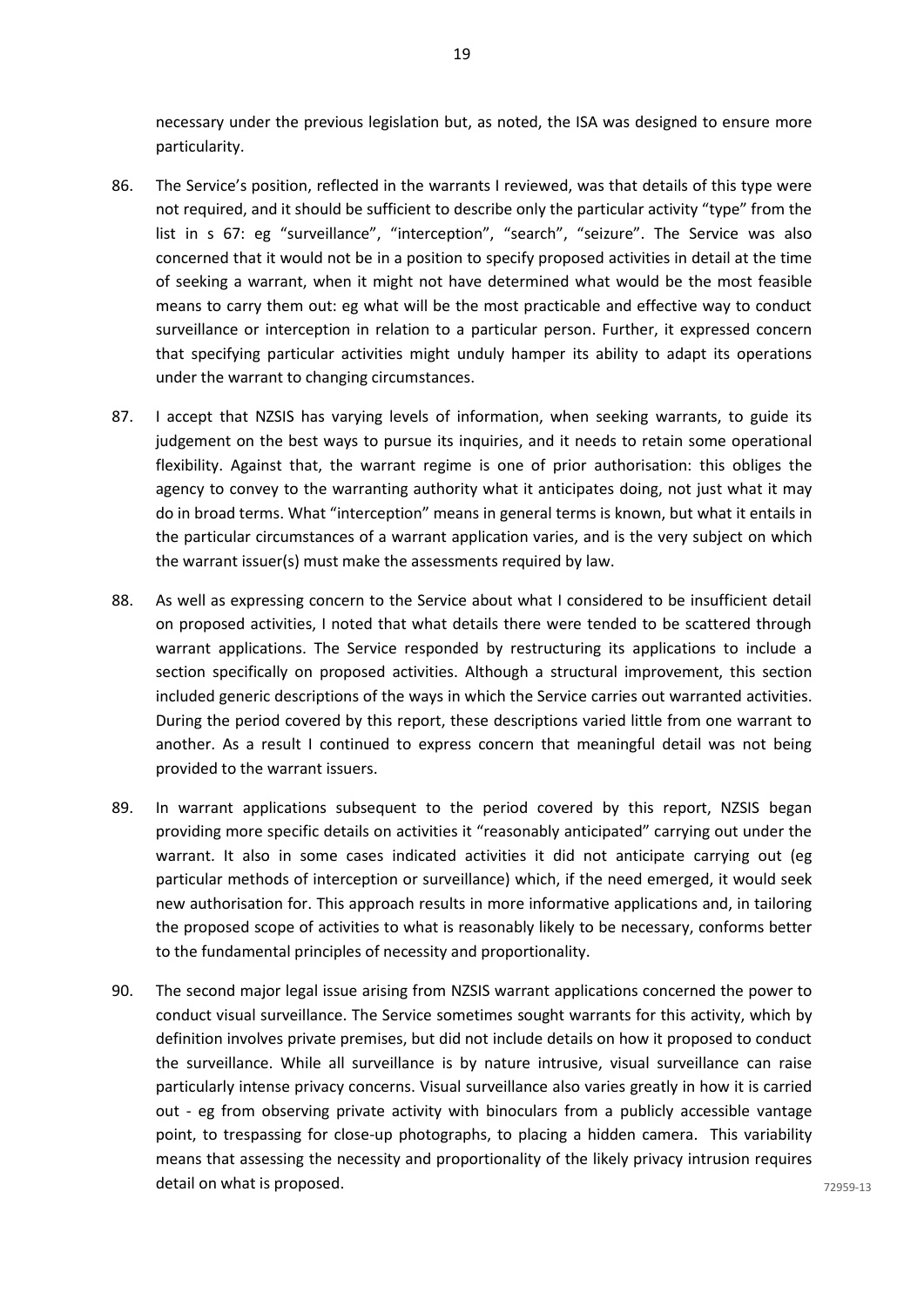necessary under the previous legislation but, as noted, the ISA was designed to ensure more particularity.

- 86. The Service's position, reflected in the warrants I reviewed, was that details of this type were not required, and it should be sufficient to describe only the particular activity "type" from the list in s 67: eg "surveillance", "interception", "search", "seizure". The Service was also concerned that it would not be in a position to specify proposed activities in detail at the time of seeking a warrant, when it might not have determined what would be the most feasible means to carry them out: eg what will be the most practicable and effective way to conduct surveillance or interception in relation to a particular person. Further, it expressed concern that specifying particular activities might unduly hamper its ability to adapt its operations under the warrant to changing circumstances.
- 87. I accept that NZSIS has varying levels of information, when seeking warrants, to guide its judgement on the best ways to pursue its inquiries, and it needs to retain some operational flexibility. Against that, the warrant regime is one of prior authorisation: this obliges the agency to convey to the warranting authority what it anticipates doing, not just what it may do in broad terms. What "interception" means in general terms is known, but what it entails in the particular circumstances of a warrant application varies, and is the very subject on which the warrant issuer(s) must make the assessments required by law.
- 88. As well as expressing concern to the Service about what I considered to be insufficient detail on proposed activities, I noted that what details there were tended to be scattered through warrant applications. The Service responded by restructuring its applications to include a section specifically on proposed activities. Although a structural improvement, this section included generic descriptions of the ways in which the Service carries out warranted activities. During the period covered by this report, these descriptions varied little from one warrant to another. As a result I continued to express concern that meaningful detail was not being provided to the warrant issuers.
- 89. In warrant applications subsequent to the period covered by this report, NZSIS began providing more specific details on activities it "reasonably anticipated" carrying out under the warrant. It also in some cases indicated activities it did not anticipate carrying out (eg particular methods of interception or surveillance) which, if the need emerged, it would seek new authorisation for. This approach results in more informative applications and, in tailoring the proposed scope of activities to what is reasonably likely to be necessary, conforms better to the fundamental principles of necessity and proportionality.
- 90. The second major legal issue arising from NZSIS warrant applications concerned the power to conduct visual surveillance. The Service sometimes sought warrants for this activity, which by definition involves private premises, but did not include details on how it proposed to conduct the surveillance. While all surveillance is by nature intrusive, visual surveillance can raise particularly intense privacy concerns. Visual surveillance also varies greatly in how it is carried out - eg from observing private activity with binoculars from a publicly accessible vantage point, to trespassing for close-up photographs, to placing a hidden camera. This variability means that assessing the necessity and proportionality of the likely privacy intrusion requires detail on what is proposed.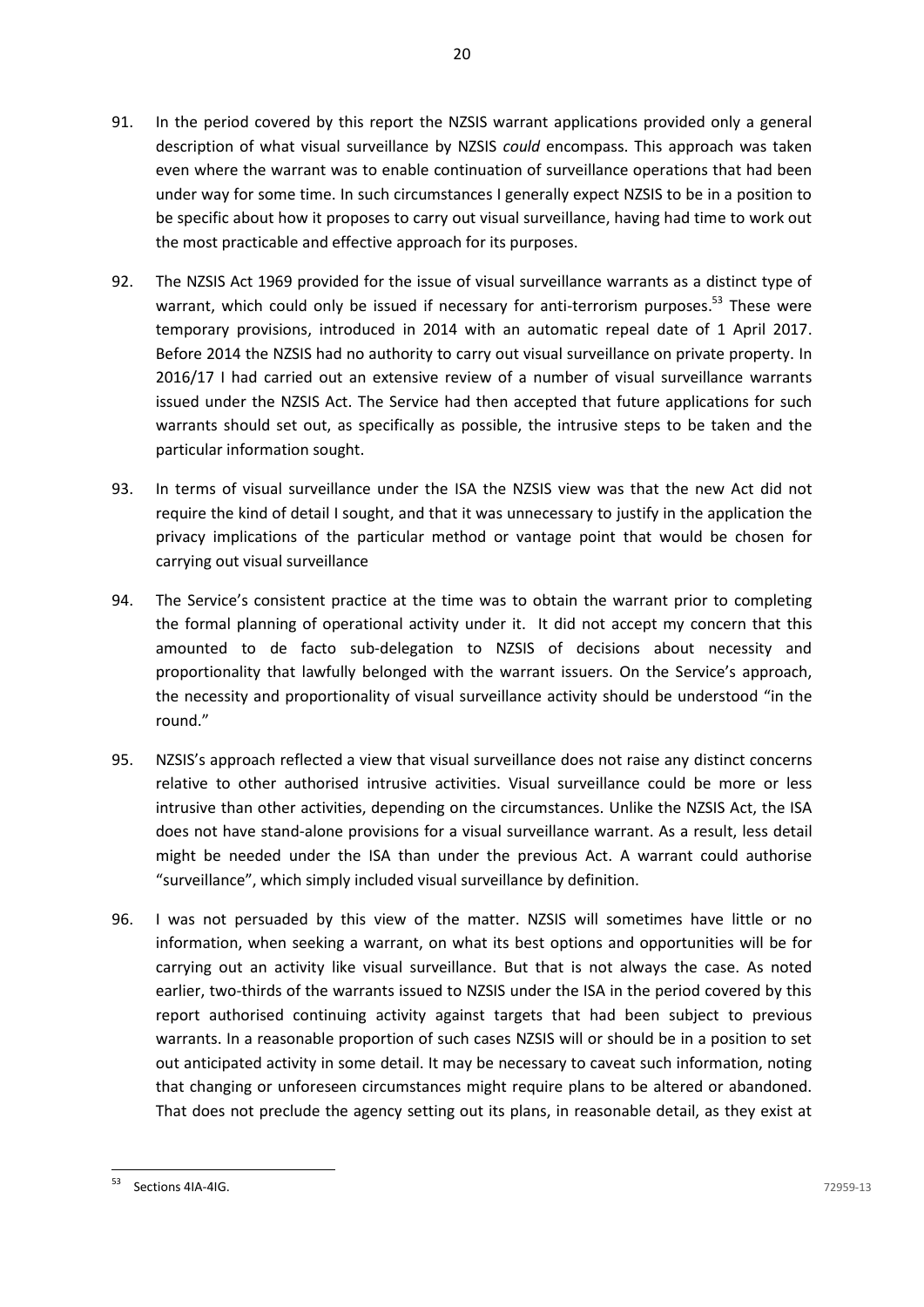- 91. In the period covered by this report the NZSIS warrant applications provided only a general description of what visual surveillance by NZSIS *could* encompass. This approach was taken even where the warrant was to enable continuation of surveillance operations that had been under way for some time. In such circumstances I generally expect NZSIS to be in a position to be specific about how it proposes to carry out visual surveillance, having had time to work out the most practicable and effective approach for its purposes.
- 92. The NZSIS Act 1969 provided for the issue of visual surveillance warrants as a distinct type of warrant, which could only be issued if necessary for anti-terrorism purposes.<sup>53</sup> These were temporary provisions, introduced in 2014 with an automatic repeal date of 1 April 2017. Before 2014 the NZSIS had no authority to carry out visual surveillance on private property. In 2016/17 I had carried out an extensive review of a number of visual surveillance warrants issued under the NZSIS Act. The Service had then accepted that future applications for such warrants should set out, as specifically as possible, the intrusive steps to be taken and the particular information sought.
- 93. In terms of visual surveillance under the ISA the NZSIS view was that the new Act did not require the kind of detail I sought, and that it was unnecessary to justify in the application the privacy implications of the particular method or vantage point that would be chosen for carrying out visual surveillance
- 94. The Service's consistent practice at the time was to obtain the warrant prior to completing the formal planning of operational activity under it. It did not accept my concern that this amounted to de facto sub-delegation to NZSIS of decisions about necessity and proportionality that lawfully belonged with the warrant issuers. On the Service's approach, the necessity and proportionality of visual surveillance activity should be understood "in the round."
- 95. NZSIS's approach reflected a view that visual surveillance does not raise any distinct concerns relative to other authorised intrusive activities. Visual surveillance could be more or less intrusive than other activities, depending on the circumstances. Unlike the NZSIS Act, the ISA does not have stand-alone provisions for a visual surveillance warrant. As a result, less detail might be needed under the ISA than under the previous Act. A warrant could authorise "surveillance", which simply included visual surveillance by definition.
- 96. I was not persuaded by this view of the matter. NZSIS will sometimes have little or no information, when seeking a warrant, on what its best options and opportunities will be for carrying out an activity like visual surveillance. But that is not always the case. As noted earlier, two-thirds of the warrants issued to NZSIS under the ISA in the period covered by this report authorised continuing activity against targets that had been subject to previous warrants. In a reasonable proportion of such cases NZSIS will or should be in a position to set out anticipated activity in some detail. It may be necessary to caveat such information, noting that changing or unforeseen circumstances might require plans to be altered or abandoned. That does not preclude the agency setting out its plans, in reasonable detail, as they exist at

<sup>53</sup> Sections 4IA-4IG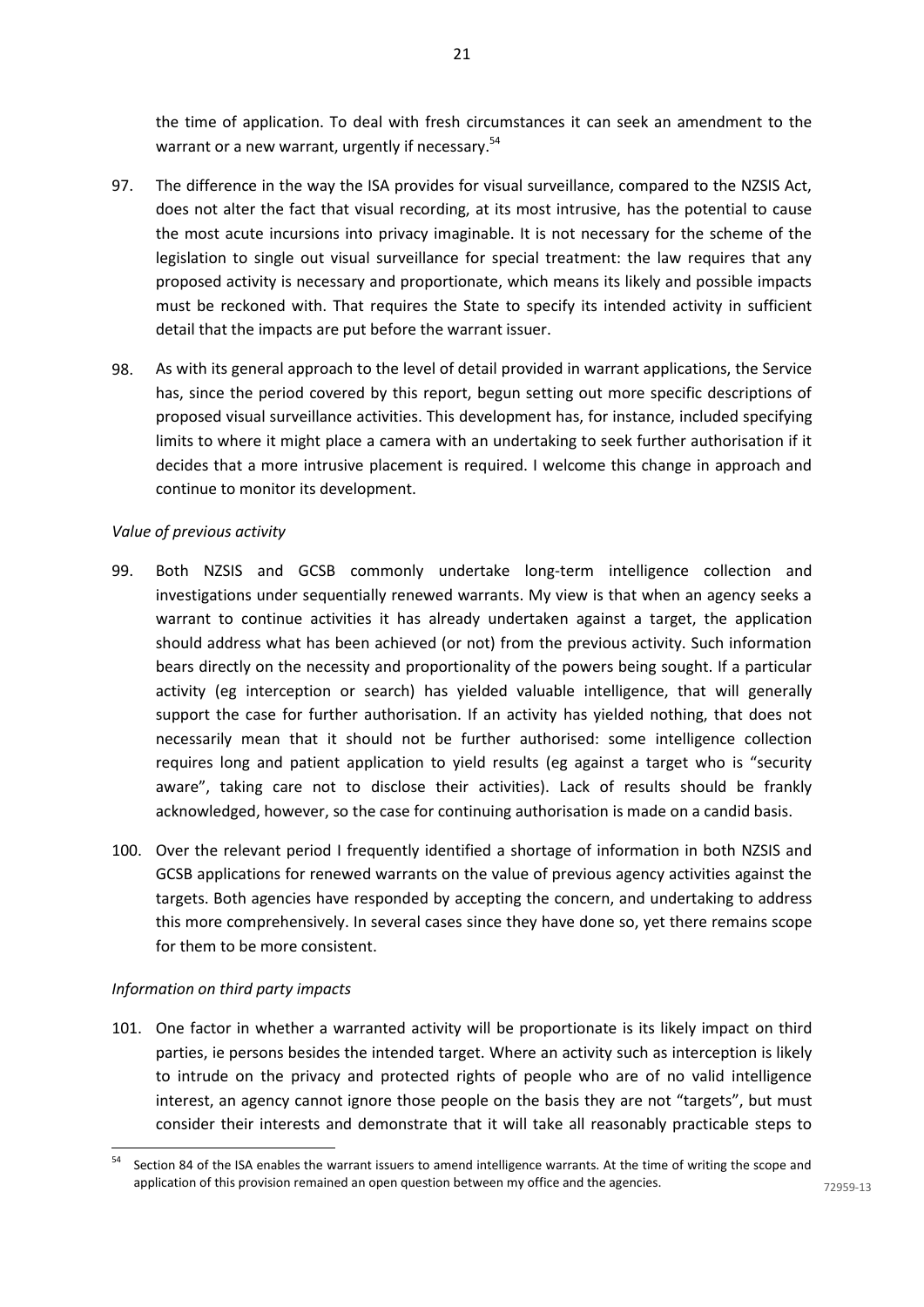the time of application. To deal with fresh circumstances it can seek an amendment to the warrant or a new warrant, urgently if necessary.<sup>54</sup>

- 97. The difference in the way the ISA provides for visual surveillance, compared to the NZSIS Act, does not alter the fact that visual recording, at its most intrusive, has the potential to cause the most acute incursions into privacy imaginable. It is not necessary for the scheme of the legislation to single out visual surveillance for special treatment: the law requires that any proposed activity is necessary and proportionate, which means its likely and possible impacts must be reckoned with. That requires the State to specify its intended activity in sufficient detail that the impacts are put before the warrant issuer.
- 98. As with its general approach to the level of detail provided in warrant applications, the Service has, since the period covered by this report, begun setting out more specific descriptions of proposed visual surveillance activities. This development has, for instance, included specifying limits to where it might place a camera with an undertaking to seek further authorisation if it decides that a more intrusive placement is required. I welcome this change in approach and continue to monitor its development.

## <span id="page-21-0"></span>*Value of previous activity*

- 99. Both NZSIS and GCSB commonly undertake long-term intelligence collection and investigations under sequentially renewed warrants. My view is that when an agency seeks a warrant to continue activities it has already undertaken against a target, the application should address what has been achieved (or not) from the previous activity. Such information bears directly on the necessity and proportionality of the powers being sought. If a particular activity (eg interception or search) has yielded valuable intelligence, that will generally support the case for further authorisation. If an activity has yielded nothing, that does not necessarily mean that it should not be further authorised: some intelligence collection requires long and patient application to yield results (eg against a target who is "security aware", taking care not to disclose their activities). Lack of results should be frankly acknowledged, however, so the case for continuing authorisation is made on a candid basis.
- 100. Over the relevant period I frequently identified a shortage of information in both NZSIS and GCSB applications for renewed warrants on the value of previous agency activities against the targets. Both agencies have responded by accepting the concern, and undertaking to address this more comprehensively. In several cases since they have done so, yet there remains scope for them to be more consistent.

#### <span id="page-21-1"></span>*Information on third party impacts*

101. One factor in whether a warranted activity will be proportionate is its likely impact on third parties, ie persons besides the intended target. Where an activity such as interception is likely to intrude on the privacy and protected rights of people who are of no valid intelligence interest, an agency cannot ignore those people on the basis they are not "targets", but must consider their interests and demonstrate that it will take all reasonably practicable steps to

<sup>54</sup> Section 84 of the ISA enables the warrant issuers to amend intelligence warrants. At the time of writing the scope and application of this provision remained an open question between my office and the agencies.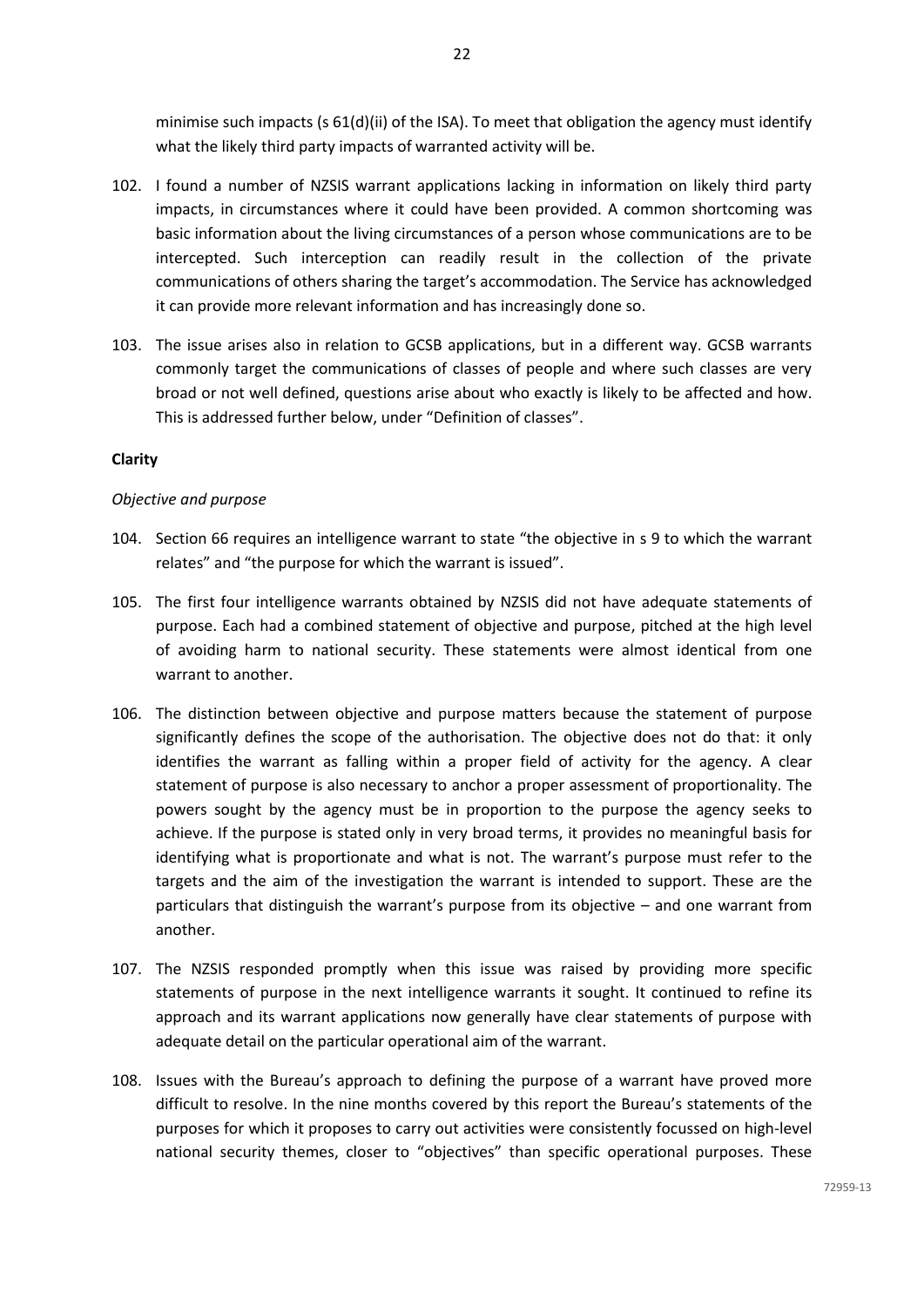minimise such impacts (s  $61(d)$ (ii) of the ISA). To meet that obligation the agency must identify what the likely third party impacts of warranted activity will be.

- 102. I found a number of NZSIS warrant applications lacking in information on likely third party impacts, in circumstances where it could have been provided. A common shortcoming was basic information about the living circumstances of a person whose communications are to be intercepted. Such interception can readily result in the collection of the private communications of others sharing the target's accommodation. The Service has acknowledged it can provide more relevant information and has increasingly done so.
- 103. The issue arises also in relation to GCSB applications, but in a different way. GCSB warrants commonly target the communications of classes of people and where such classes are very broad or not well defined, questions arise about who exactly is likely to be affected and how. This is addressed further below, under "Definition of classes".

## <span id="page-22-0"></span>**Clarity**

## <span id="page-22-1"></span>*Objective and purpose*

- 104. Section 66 requires an intelligence warrant to state "the objective in s 9 to which the warrant relates" and "the purpose for which the warrant is issued".
- 105. The first four intelligence warrants obtained by NZSIS did not have adequate statements of purpose. Each had a combined statement of objective and purpose, pitched at the high level of avoiding harm to national security. These statements were almost identical from one warrant to another.
- 106. The distinction between objective and purpose matters because the statement of purpose significantly defines the scope of the authorisation. The objective does not do that: it only identifies the warrant as falling within a proper field of activity for the agency. A clear statement of purpose is also necessary to anchor a proper assessment of proportionality. The powers sought by the agency must be in proportion to the purpose the agency seeks to achieve. If the purpose is stated only in very broad terms, it provides no meaningful basis for identifying what is proportionate and what is not. The warrant's purpose must refer to the targets and the aim of the investigation the warrant is intended to support. These are the particulars that distinguish the warrant's purpose from its objective – and one warrant from another.
- 107. The NZSIS responded promptly when this issue was raised by providing more specific statements of purpose in the next intelligence warrants it sought. It continued to refine its approach and its warrant applications now generally have clear statements of purpose with adequate detail on the particular operational aim of the warrant.
- 108. Issues with the Bureau's approach to defining the purpose of a warrant have proved more difficult to resolve. In the nine months covered by this report the Bureau's statements of the purposes for which it proposes to carry out activities were consistently focussed on high-level national security themes, closer to "objectives" than specific operational purposes. These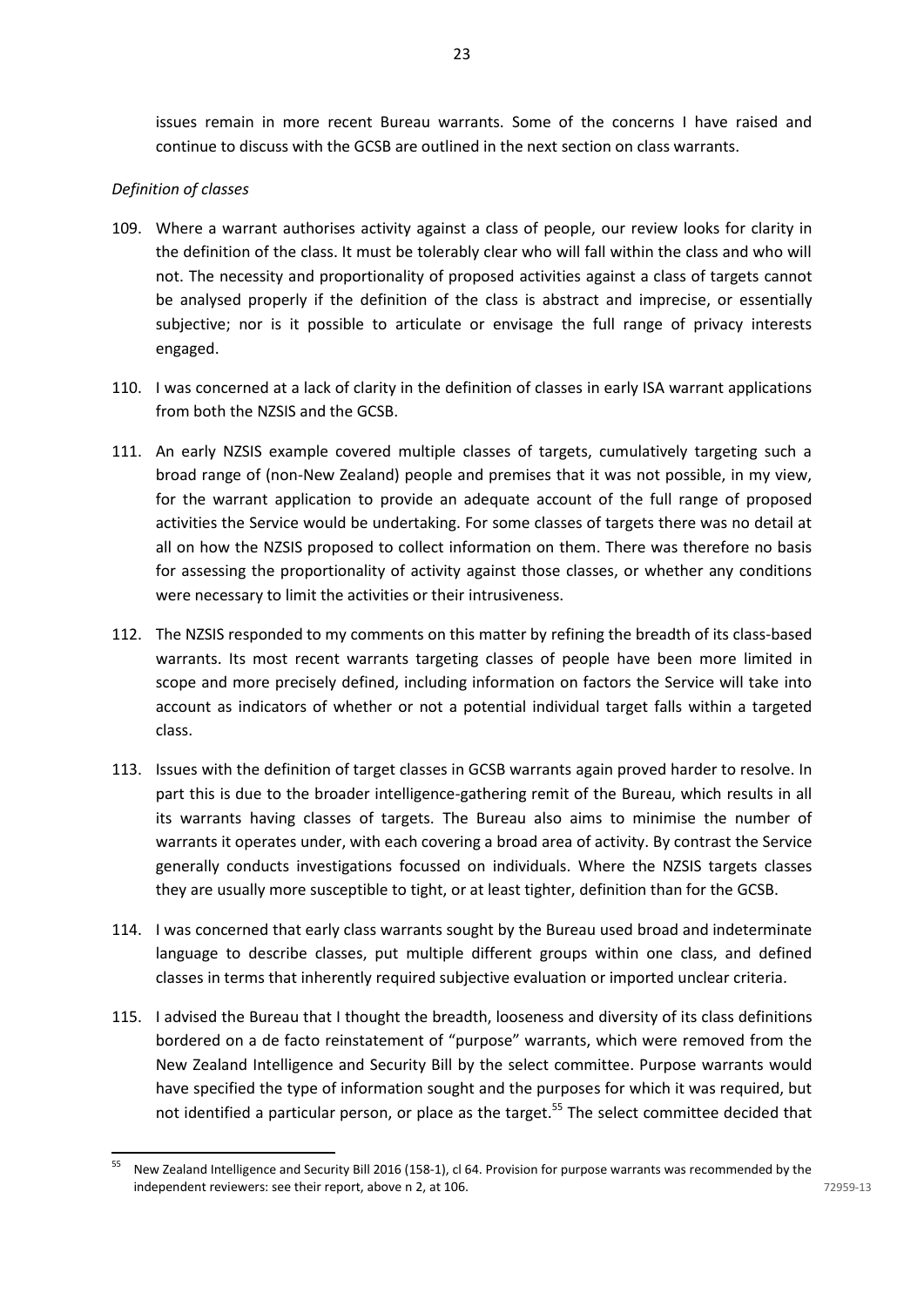issues remain in more recent Bureau warrants. Some of the concerns I have raised and continue to discuss with the GCSB are outlined in the next section on class warrants.

# <span id="page-23-0"></span>*Definition of classes*

- 109. Where a warrant authorises activity against a class of people, our review looks for clarity in the definition of the class. It must be tolerably clear who will fall within the class and who will not. The necessity and proportionality of proposed activities against a class of targets cannot be analysed properly if the definition of the class is abstract and imprecise, or essentially subjective; nor is it possible to articulate or envisage the full range of privacy interests engaged.
- 110. I was concerned at a lack of clarity in the definition of classes in early ISA warrant applications from both the NZSIS and the GCSB.
- 111. An early NZSIS example covered multiple classes of targets, cumulatively targeting such a broad range of (non-New Zealand) people and premises that it was not possible, in my view, for the warrant application to provide an adequate account of the full range of proposed activities the Service would be undertaking. For some classes of targets there was no detail at all on how the NZSIS proposed to collect information on them. There was therefore no basis for assessing the proportionality of activity against those classes, or whether any conditions were necessary to limit the activities or their intrusiveness.
- 112. The NZSIS responded to my comments on this matter by refining the breadth of its class-based warrants. Its most recent warrants targeting classes of people have been more limited in scope and more precisely defined, including information on factors the Service will take into account as indicators of whether or not a potential individual target falls within a targeted class.
- 113. Issues with the definition of target classes in GCSB warrants again proved harder to resolve. In part this is due to the broader intelligence-gathering remit of the Bureau, which results in all its warrants having classes of targets. The Bureau also aims to minimise the number of warrants it operates under, with each covering a broad area of activity. By contrast the Service generally conducts investigations focussed on individuals. Where the NZSIS targets classes they are usually more susceptible to tight, or at least tighter, definition than for the GCSB.
- 114. I was concerned that early class warrants sought by the Bureau used broad and indeterminate language to describe classes, put multiple different groups within one class, and defined classes in terms that inherently required subjective evaluation or imported unclear criteria.
- 115. I advised the Bureau that I thought the breadth, looseness and diversity of its class definitions bordered on a de facto reinstatement of "purpose" warrants, which were removed from the New Zealand Intelligence and Security Bill by the select committee. Purpose warrants would have specified the type of information sought and the purposes for which it was required, but not identified a particular person, or place as the target.<sup>55</sup> The select committee decided that

<sup>55</sup> New Zealand Intelligence and Security Bill 2016 (158-1), cl 64. Provision for purpose warrants was recommended by the independent reviewers: see their report, above n 2, at 106.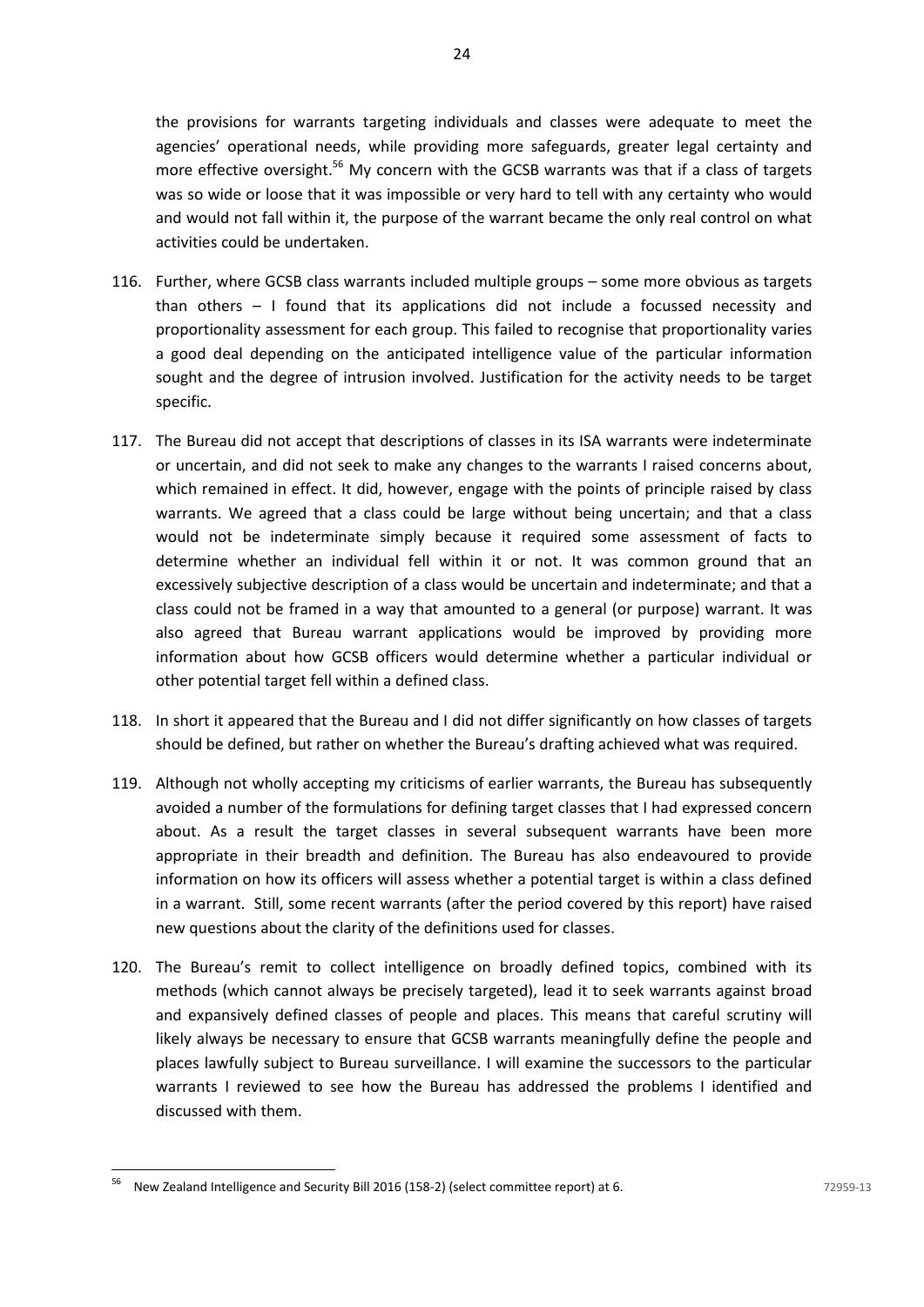the provisions for warrants targeting individuals and classes were adequate to meet the agencies' operational needs, while providing more safeguards, greater legal certainty and more effective oversight.<sup>56</sup> My concern with the GCSB warrants was that if a class of targets was so wide or loose that it was impossible or very hard to tell with any certainty who would and would not fall within it, the purpose of the warrant became the only real control on what activities could be undertaken.

- 116. Further, where GCSB class warrants included multiple groups some more obvious as targets than others  $-1$  found that its applications did not include a focussed necessity and proportionality assessment for each group. This failed to recognise that proportionality varies a good deal depending on the anticipated intelligence value of the particular information sought and the degree of intrusion involved. Justification for the activity needs to be target specific.
- 117. The Bureau did not accept that descriptions of classes in its ISA warrants were indeterminate or uncertain, and did not seek to make any changes to the warrants I raised concerns about, which remained in effect. It did, however, engage with the points of principle raised by class warrants. We agreed that a class could be large without being uncertain; and that a class would not be indeterminate simply because it required some assessment of facts to determine whether an individual fell within it or not. It was common ground that an excessively subjective description of a class would be uncertain and indeterminate; and that a class could not be framed in a way that amounted to a general (or purpose) warrant. It was also agreed that Bureau warrant applications would be improved by providing more information about how GCSB officers would determine whether a particular individual or other potential target fell within a defined class.
- 118. In short it appeared that the Bureau and I did not differ significantly on how classes of targets should be defined, but rather on whether the Bureau's drafting achieved what was required.
- 119. Although not wholly accepting my criticisms of earlier warrants, the Bureau has subsequently avoided a number of the formulations for defining target classes that I had expressed concern about. As a result the target classes in several subsequent warrants have been more appropriate in their breadth and definition. The Bureau has also endeavoured to provide information on how its officers will assess whether a potential target is within a class defined in a warrant. Still, some recent warrants (after the period covered by this report) have raised new questions about the clarity of the definitions used for classes.
- 120. The Bureau's remit to collect intelligence on broadly defined topics, combined with its methods (which cannot always be precisely targeted), lead it to seek warrants against broad and expansively defined classes of people and places. This means that careful scrutiny will likely always be necessary to ensure that GCSB warrants meaningfully define the people and places lawfully subject to Bureau surveillance. I will examine the successors to the particular warrants I reviewed to see how the Bureau has addressed the problems I identified and discussed with them.

<sup>56</sup> New Zealand Intelligence and Security Bill 2016 (158-2) (select committee report) at 6.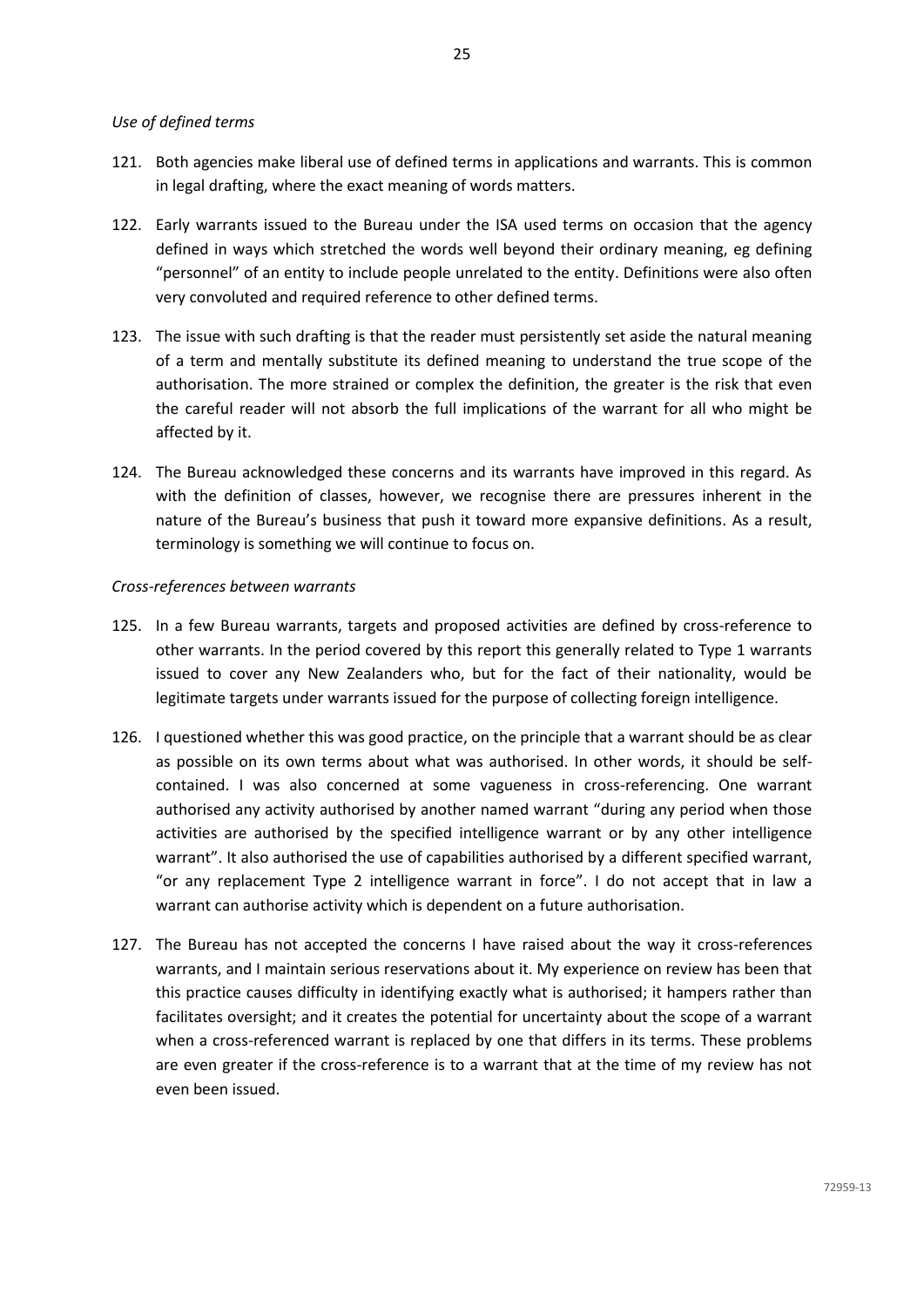- <span id="page-25-0"></span>121. Both agencies make liberal use of defined terms in applications and warrants. This is common in legal drafting, where the exact meaning of words matters.
- 122. Early warrants issued to the Bureau under the ISA used terms on occasion that the agency defined in ways which stretched the words well beyond their ordinary meaning, eg defining "personnel" of an entity to include people unrelated to the entity. Definitions were also often very convoluted and required reference to other defined terms.
- 123. The issue with such drafting is that the reader must persistently set aside the natural meaning of a term and mentally substitute its defined meaning to understand the true scope of the authorisation. The more strained or complex the definition, the greater is the risk that even the careful reader will not absorb the full implications of the warrant for all who might be affected by it.
- 124. The Bureau acknowledged these concerns and its warrants have improved in this regard. As with the definition of classes, however, we recognise there are pressures inherent in the nature of the Bureau's business that push it toward more expansive definitions. As a result, terminology is something we will continue to focus on.

## <span id="page-25-1"></span>*Cross-references between warrants*

- 125. In a few Bureau warrants, targets and proposed activities are defined by cross-reference to other warrants. In the period covered by this report this generally related to Type 1 warrants issued to cover any New Zealanders who, but for the fact of their nationality, would be legitimate targets under warrants issued for the purpose of collecting foreign intelligence.
- 126. I questioned whether this was good practice, on the principle that a warrant should be as clear as possible on its own terms about what was authorised. In other words, it should be selfcontained. I was also concerned at some vagueness in cross-referencing. One warrant authorised any activity authorised by another named warrant "during any period when those activities are authorised by the specified intelligence warrant or by any other intelligence warrant". It also authorised the use of capabilities authorised by a different specified warrant, "or any replacement Type 2 intelligence warrant in force". I do not accept that in law a warrant can authorise activity which is dependent on a future authorisation.
- 127. The Bureau has not accepted the concerns I have raised about the way it cross-references warrants, and I maintain serious reservations about it. My experience on review has been that this practice causes difficulty in identifying exactly what is authorised; it hampers rather than facilitates oversight; and it creates the potential for uncertainty about the scope of a warrant when a cross-referenced warrant is replaced by one that differs in its terms. These problems are even greater if the cross-reference is to a warrant that at the time of my review has not even been issued.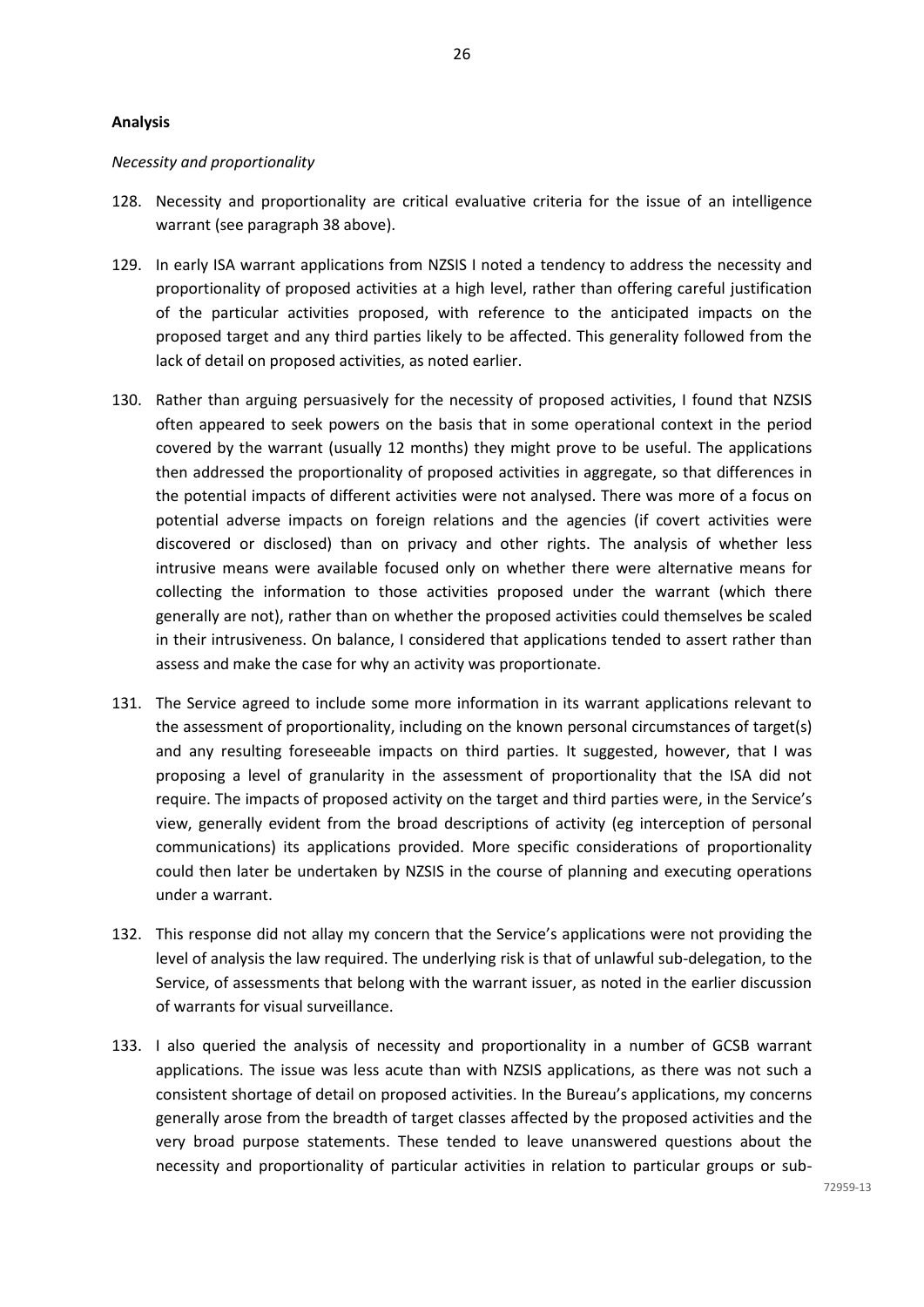#### <span id="page-26-0"></span>**Analysis**

#### <span id="page-26-1"></span>*Necessity and proportionality*

- 128. Necessity and proportionality are critical evaluative criteria for the issue of an intelligence warrant (see paragraph [38 above\)](#page-10-1).
- 129. In early ISA warrant applications from NZSIS I noted a tendency to address the necessity and proportionality of proposed activities at a high level, rather than offering careful justification of the particular activities proposed, with reference to the anticipated impacts on the proposed target and any third parties likely to be affected. This generality followed from the lack of detail on proposed activities, as noted earlier.
- 130. Rather than arguing persuasively for the necessity of proposed activities, I found that NZSIS often appeared to seek powers on the basis that in some operational context in the period covered by the warrant (usually 12 months) they might prove to be useful. The applications then addressed the proportionality of proposed activities in aggregate, so that differences in the potential impacts of different activities were not analysed. There was more of a focus on potential adverse impacts on foreign relations and the agencies (if covert activities were discovered or disclosed) than on privacy and other rights. The analysis of whether less intrusive means were available focused only on whether there were alternative means for collecting the information to those activities proposed under the warrant (which there generally are not), rather than on whether the proposed activities could themselves be scaled in their intrusiveness. On balance, I considered that applications tended to assert rather than assess and make the case for why an activity was proportionate.
- 131. The Service agreed to include some more information in its warrant applications relevant to the assessment of proportionality, including on the known personal circumstances of target(s) and any resulting foreseeable impacts on third parties. It suggested, however, that I was proposing a level of granularity in the assessment of proportionality that the ISA did not require. The impacts of proposed activity on the target and third parties were, in the Service's view, generally evident from the broad descriptions of activity (eg interception of personal communications) its applications provided. More specific considerations of proportionality could then later be undertaken by NZSIS in the course of planning and executing operations under a warrant.
- 132. This response did not allay my concern that the Service's applications were not providing the level of analysis the law required. The underlying risk is that of unlawful sub-delegation, to the Service, of assessments that belong with the warrant issuer, as noted in the earlier discussion of warrants for visual surveillance.
- 133. I also queried the analysis of necessity and proportionality in a number of GCSB warrant applications. The issue was less acute than with NZSIS applications, as there was not such a consistent shortage of detail on proposed activities. In the Bureau's applications, my concerns generally arose from the breadth of target classes affected by the proposed activities and the very broad purpose statements. These tended to leave unanswered questions about the necessity and proportionality of particular activities in relation to particular groups or sub-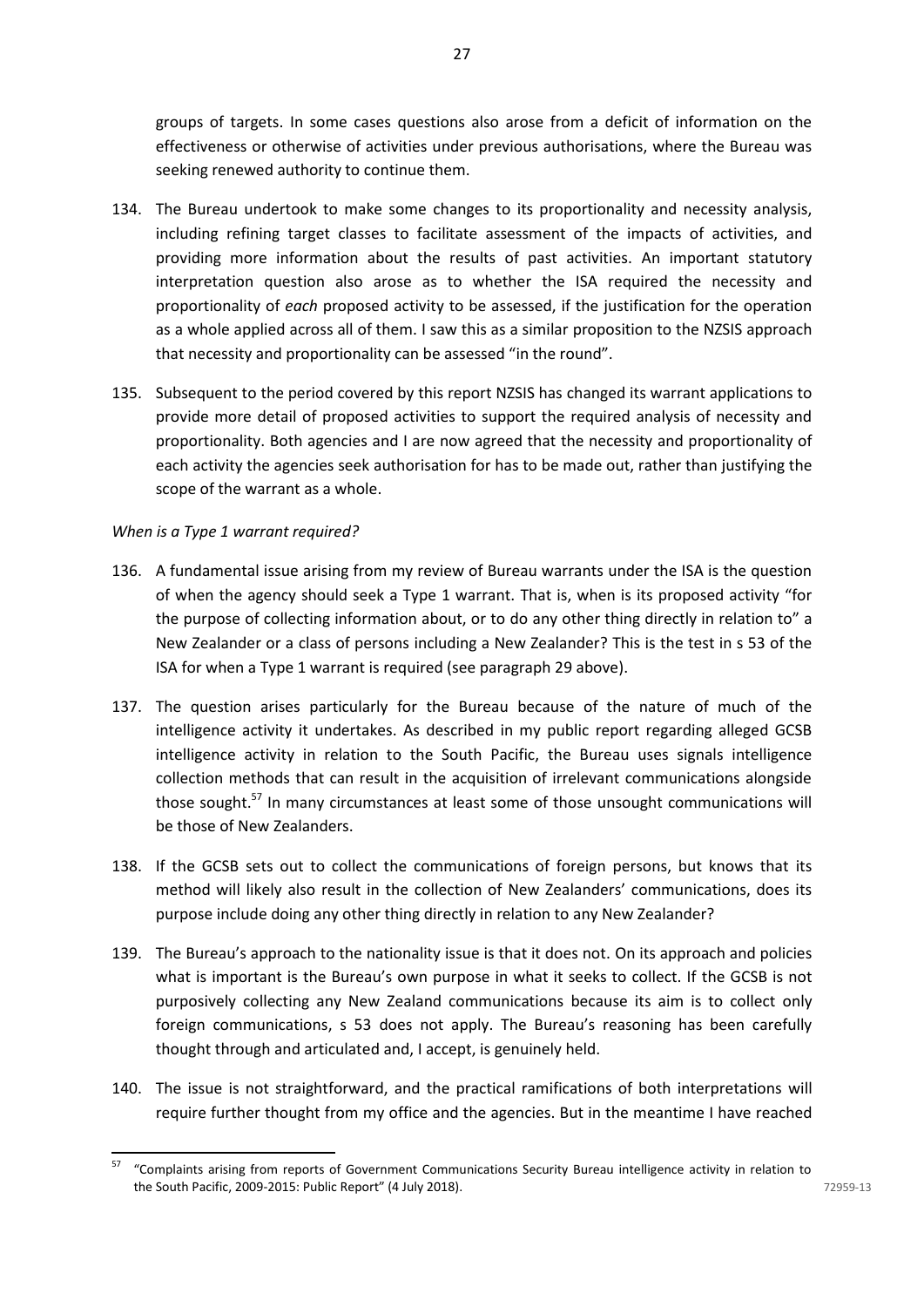groups of targets. In some cases questions also arose from a deficit of information on the effectiveness or otherwise of activities under previous authorisations, where the Bureau was seeking renewed authority to continue them.

- 134. The Bureau undertook to make some changes to its proportionality and necessity analysis, including refining target classes to facilitate assessment of the impacts of activities, and providing more information about the results of past activities. An important statutory interpretation question also arose as to whether the ISA required the necessity and proportionality of *each* proposed activity to be assessed, if the justification for the operation as a whole applied across all of them. I saw this as a similar proposition to the NZSIS approach that necessity and proportionality can be assessed "in the round".
- 135. Subsequent to the period covered by this report NZSIS has changed its warrant applications to provide more detail of proposed activities to support the required analysis of necessity and proportionality. Both agencies and I are now agreed that the necessity and proportionality of each activity the agencies seek authorisation for has to be made out, rather than justifying the scope of the warrant as a whole.

## <span id="page-27-0"></span>*When is a Type 1 warrant required?*

- 136. A fundamental issue arising from my review of Bureau warrants under the ISA is the question of when the agency should seek a Type 1 warrant. That is, when is its proposed activity "for the purpose of collecting information about, or to do any other thing directly in relation to" a New Zealander or a class of persons including a New Zealander? This is the test in s 53 of the ISA for when a Type 1 warrant is required (see paragrap[h 29 above\)](#page-8-2).
- 137. The question arises particularly for the Bureau because of the nature of much of the intelligence activity it undertakes. As described in my public report regarding alleged GCSB intelligence activity in relation to the South Pacific, the Bureau uses signals intelligence collection methods that can result in the acquisition of irrelevant communications alongside those sought.<sup>57</sup> In many circumstances at least some of those unsought communications will be those of New Zealanders.
- 138. If the GCSB sets out to collect the communications of foreign persons, but knows that its method will likely also result in the collection of New Zealanders' communications, does its purpose include doing any other thing directly in relation to any New Zealander?
- 139. The Bureau's approach to the nationality issue is that it does not. On its approach and policies what is important is the Bureau's own purpose in what it seeks to collect. If the GCSB is not purposively collecting any New Zealand communications because its aim is to collect only foreign communications, s 53 does not apply. The Bureau's reasoning has been carefully thought through and articulated and, I accept, is genuinely held.
- 140. The issue is not straightforward, and the practical ramifications of both interpretations will require further thought from my office and the agencies. But in the meantime I have reached

<sup>57</sup> <sup>57</sup> "Complaints arising from reports of Government Communications Security Bureau intelligence activity in relation to the South Pacific, 2009-2015: Public Report" (4 July 2018).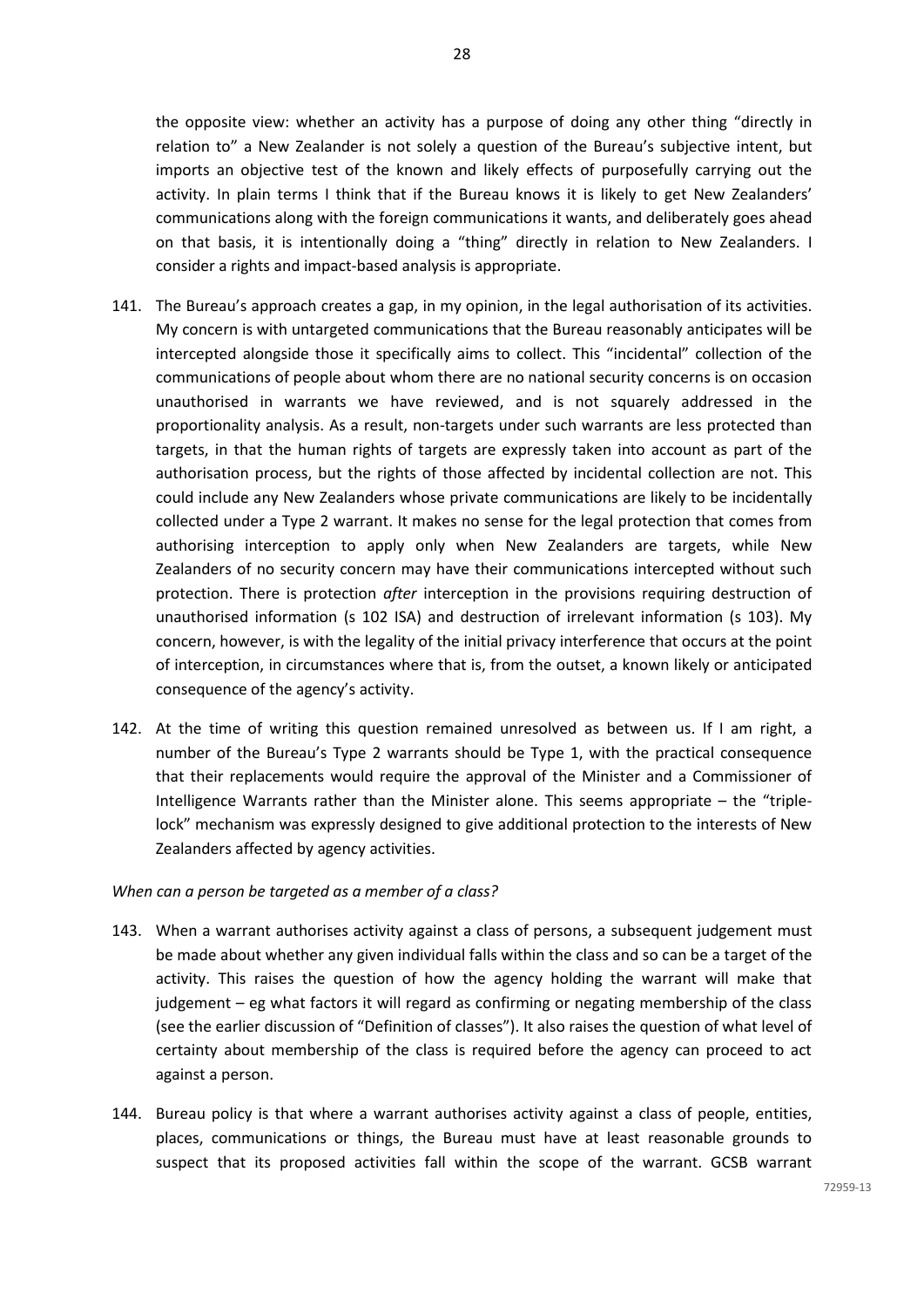the opposite view: whether an activity has a purpose of doing any other thing "directly in relation to" a New Zealander is not solely a question of the Bureau's subjective intent, but imports an objective test of the known and likely effects of purposefully carrying out the activity. In plain terms I think that if the Bureau knows it is likely to get New Zealanders' communications along with the foreign communications it wants, and deliberately goes ahead on that basis, it is intentionally doing a "thing" directly in relation to New Zealanders. I consider a rights and impact-based analysis is appropriate.

- 141. The Bureau's approach creates a gap, in my opinion, in the legal authorisation of its activities. My concern is with untargeted communications that the Bureau reasonably anticipates will be intercepted alongside those it specifically aims to collect. This "incidental" collection of the communications of people about whom there are no national security concerns is on occasion unauthorised in warrants we have reviewed, and is not squarely addressed in the proportionality analysis. As a result, non-targets under such warrants are less protected than targets, in that the human rights of targets are expressly taken into account as part of the authorisation process, but the rights of those affected by incidental collection are not. This could include any New Zealanders whose private communications are likely to be incidentally collected under a Type 2 warrant. It makes no sense for the legal protection that comes from authorising interception to apply only when New Zealanders are targets, while New Zealanders of no security concern may have their communications intercepted without such protection. There is protection *after* interception in the provisions requiring destruction of unauthorised information (s 102 ISA) and destruction of irrelevant information (s 103). My concern, however, is with the legality of the initial privacy interference that occurs at the point of interception, in circumstances where that is, from the outset, a known likely or anticipated consequence of the agency's activity.
- 142. At the time of writing this question remained unresolved as between us. If I am right, a number of the Bureau's Type 2 warrants should be Type 1, with the practical consequence that their replacements would require the approval of the Minister and a Commissioner of Intelligence Warrants rather than the Minister alone. This seems appropriate – the "triplelock" mechanism was expressly designed to give additional protection to the interests of New Zealanders affected by agency activities.

## <span id="page-28-0"></span>*When can a person be targeted as a member of a class?*

- 143. When a warrant authorises activity against a class of persons, a subsequent judgement must be made about whether any given individual falls within the class and so can be a target of the activity. This raises the question of how the agency holding the warrant will make that judgement – eg what factors it will regard as confirming or negating membership of the class (see the earlier discussion of "Definition of classes"). It also raises the question of what level of certainty about membership of the class is required before the agency can proceed to act against a person.
- 144. Bureau policy is that where a warrant authorises activity against a class of people, entities, places, communications or things, the Bureau must have at least reasonable grounds to suspect that its proposed activities fall within the scope of the warrant. GCSB warrant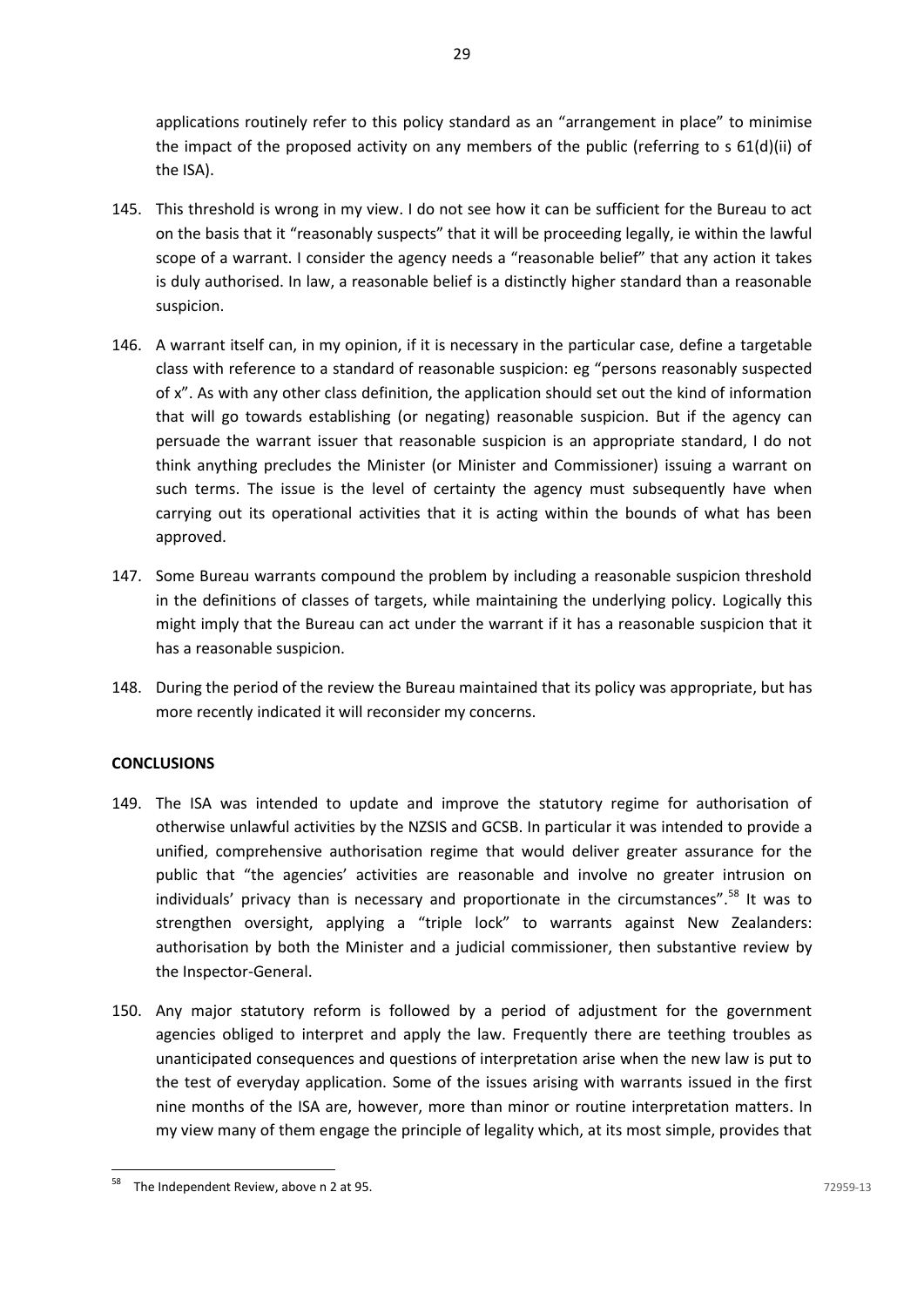applications routinely refer to this policy standard as an "arrangement in place" to minimise the impact of the proposed activity on any members of the public (referring to s 61(d)(ii) of the ISA).

- 145. This threshold is wrong in my view. I do not see how it can be sufficient for the Bureau to act on the basis that it "reasonably suspects" that it will be proceeding legally, ie within the lawful scope of a warrant. I consider the agency needs a "reasonable belief" that any action it takes is duly authorised. In law, a reasonable belief is a distinctly higher standard than a reasonable suspicion.
- 146. A warrant itself can, in my opinion, if it is necessary in the particular case, define a targetable class with reference to a standard of reasonable suspicion: eg "persons reasonably suspected of x". As with any other class definition, the application should set out the kind of information that will go towards establishing (or negating) reasonable suspicion. But if the agency can persuade the warrant issuer that reasonable suspicion is an appropriate standard, I do not think anything precludes the Minister (or Minister and Commissioner) issuing a warrant on such terms. The issue is the level of certainty the agency must subsequently have when carrying out its operational activities that it is acting within the bounds of what has been approved.
- 147. Some Bureau warrants compound the problem by including a reasonable suspicion threshold in the definitions of classes of targets, while maintaining the underlying policy. Logically this might imply that the Bureau can act under the warrant if it has a reasonable suspicion that it has a reasonable suspicion.
- 148. During the period of the review the Bureau maintained that its policy was appropriate, but has more recently indicated it will reconsider my concerns.

# <span id="page-29-0"></span>**CONCLUSIONS**

- 149. The ISA was intended to update and improve the statutory regime for authorisation of otherwise unlawful activities by the NZSIS and GCSB. In particular it was intended to provide a unified, comprehensive authorisation regime that would deliver greater assurance for the public that "the agencies' activities are reasonable and involve no greater intrusion on individuals' privacy than is necessary and proportionate in the circumstances".<sup>58</sup> It was to strengthen oversight, applying a "triple lock" to warrants against New Zealanders: authorisation by both the Minister and a judicial commissioner, then substantive review by the Inspector-General.
- 150. Any major statutory reform is followed by a period of adjustment for the government agencies obliged to interpret and apply the law. Frequently there are teething troubles as unanticipated consequences and questions of interpretation arise when the new law is put to the test of everyday application. Some of the issues arising with warrants issued in the first nine months of the ISA are, however, more than minor or routine interpretation matters. In my view many of them engage the principle of legality which, at its most simple, provides that

The Independent Review, above n 2 at 95.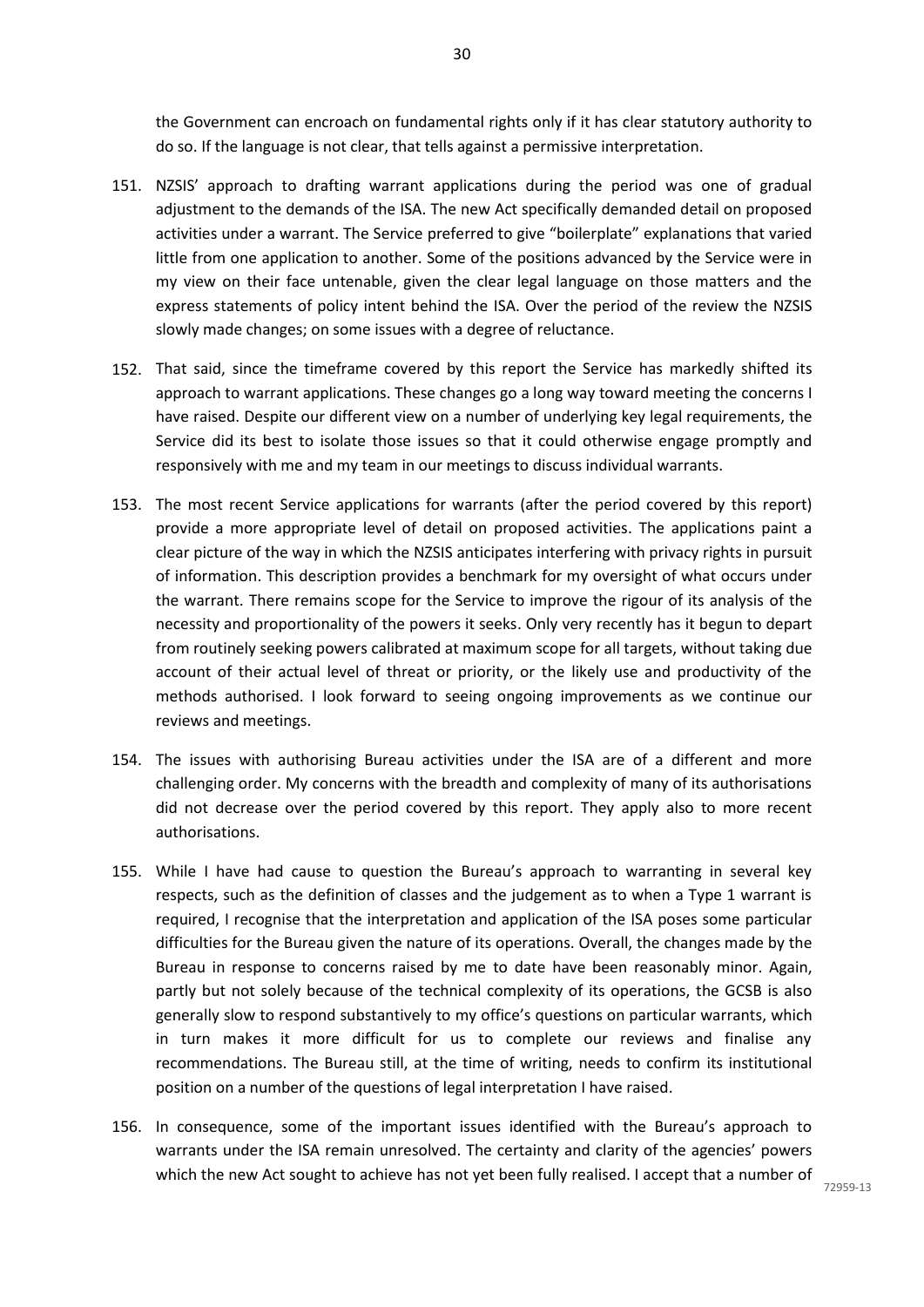the Government can encroach on fundamental rights only if it has clear statutory authority to do so. If the language is not clear, that tells against a permissive interpretation.

- 151. NZSIS' approach to drafting warrant applications during the period was one of gradual adjustment to the demands of the ISA. The new Act specifically demanded detail on proposed activities under a warrant. The Service preferred to give "boilerplate" explanations that varied little from one application to another. Some of the positions advanced by the Service were in my view on their face untenable, given the clear legal language on those matters and the express statements of policy intent behind the ISA. Over the period of the review the NZSIS slowly made changes; on some issues with a degree of reluctance.
- 152. That said, since the timeframe covered by this report the Service has markedly shifted its approach to warrant applications. These changes go a long way toward meeting the concerns I have raised. Despite our different view on a number of underlying key legal requirements, the Service did its best to isolate those issues so that it could otherwise engage promptly and responsively with me and my team in our meetings to discuss individual warrants.
- 153. The most recent Service applications for warrants (after the period covered by this report) provide a more appropriate level of detail on proposed activities. The applications paint a clear picture of the way in which the NZSIS anticipates interfering with privacy rights in pursuit of information. This description provides a benchmark for my oversight of what occurs under the warrant. There remains scope for the Service to improve the rigour of its analysis of the necessity and proportionality of the powers it seeks. Only very recently has it begun to depart from routinely seeking powers calibrated at maximum scope for all targets, without taking due account of their actual level of threat or priority, or the likely use and productivity of the methods authorised. I look forward to seeing ongoing improvements as we continue our reviews and meetings.
- 154. The issues with authorising Bureau activities under the ISA are of a different and more challenging order. My concerns with the breadth and complexity of many of its authorisations did not decrease over the period covered by this report. They apply also to more recent authorisations.
- 155. While I have had cause to question the Bureau's approach to warranting in several key respects, such as the definition of classes and the judgement as to when a Type 1 warrant is required, I recognise that the interpretation and application of the ISA poses some particular difficulties for the Bureau given the nature of its operations. Overall, the changes made by the Bureau in response to concerns raised by me to date have been reasonably minor. Again, partly but not solely because of the technical complexity of its operations, the GCSB is also generally slow to respond substantively to my office's questions on particular warrants, which in turn makes it more difficult for us to complete our reviews and finalise any recommendations. The Bureau still, at the time of writing, needs to confirm its institutional position on a number of the questions of legal interpretation I have raised.
- 156. In consequence, some of the important issues identified with the Bureau's approach to warrants under the ISA remain unresolved. The certainty and clarity of the agencies' powers which the new Act sought to achieve has not yet been fully realised. I accept that a number of